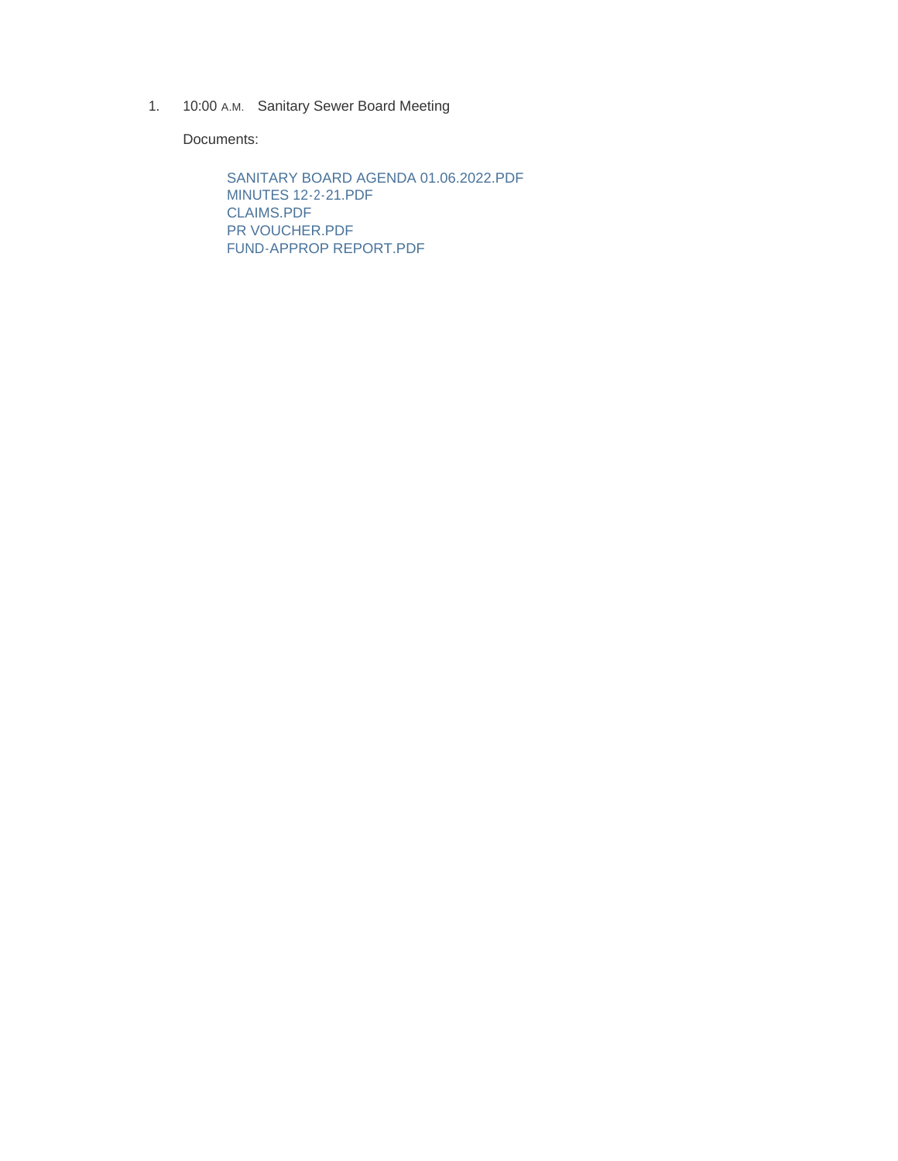1. 10:00 A.M. Sanitary Sewer Board Meeting

Documents:

SANITARY BOARD AGENDA 01.06.2022.PDF MINUTES 12-2-21.PDF CLAIMS.PDF PR VOUCHER.PDF FUND-APPROP REPORT.PDF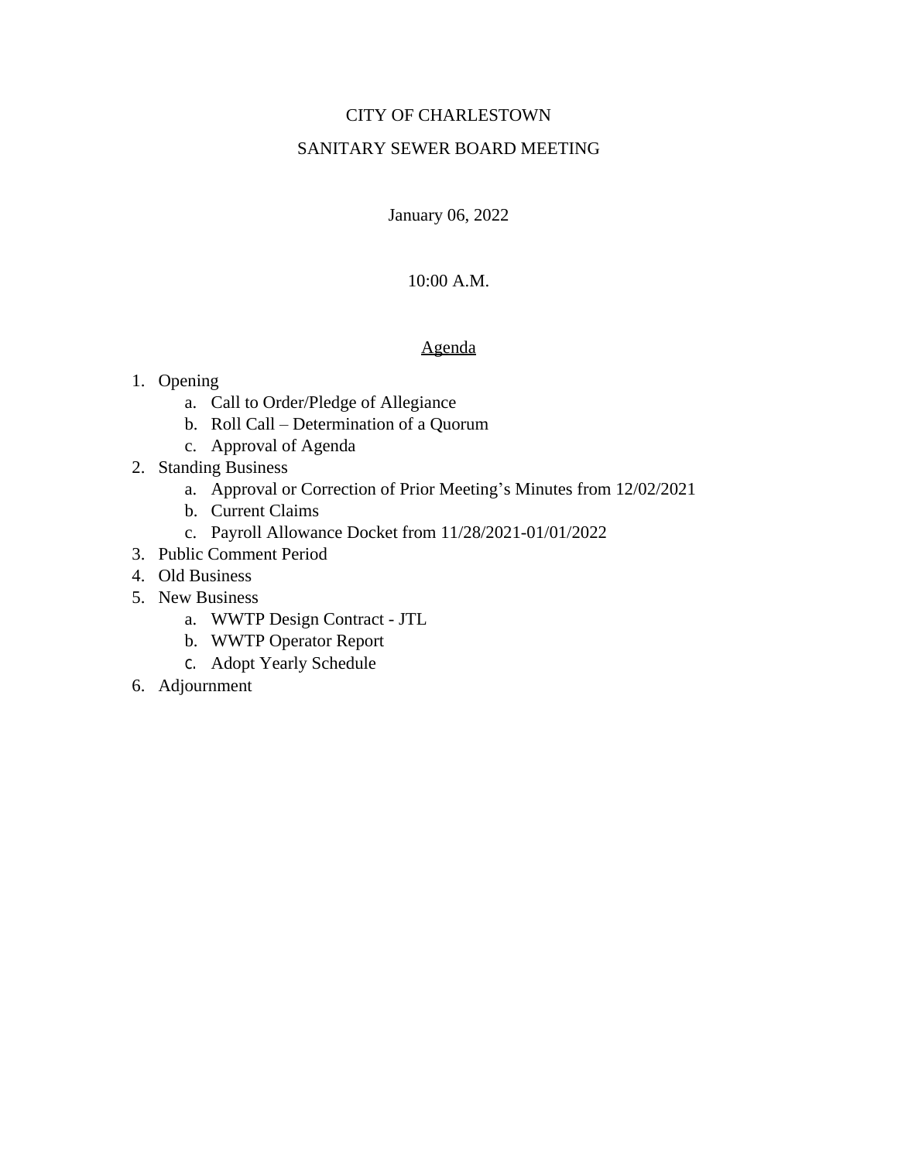# CITY OF CHARLESTOWN

# SANITARY SEWER BOARD MEETING

January 06, 2022

# 10:00 A.M.

# Agenda

- 1. Opening
	- a. Call to Order/Pledge of Allegiance
	- b. Roll Call Determination of a Quorum
	- c. Approval of Agenda
- 2. Standing Business
	- a. Approval or Correction of Prior Meeting's Minutes from 12/02/2021
	- b. Current Claims
	- c. Payroll Allowance Docket from 11/28/2021-01/01/2022
- 3. Public Comment Period
- 4. Old Business
- 5. New Business
	- a. WWTP Design Contract JTL
	- b. WWTP Operator Report
	- c. Adopt Yearly Schedule
- 6. Adjournment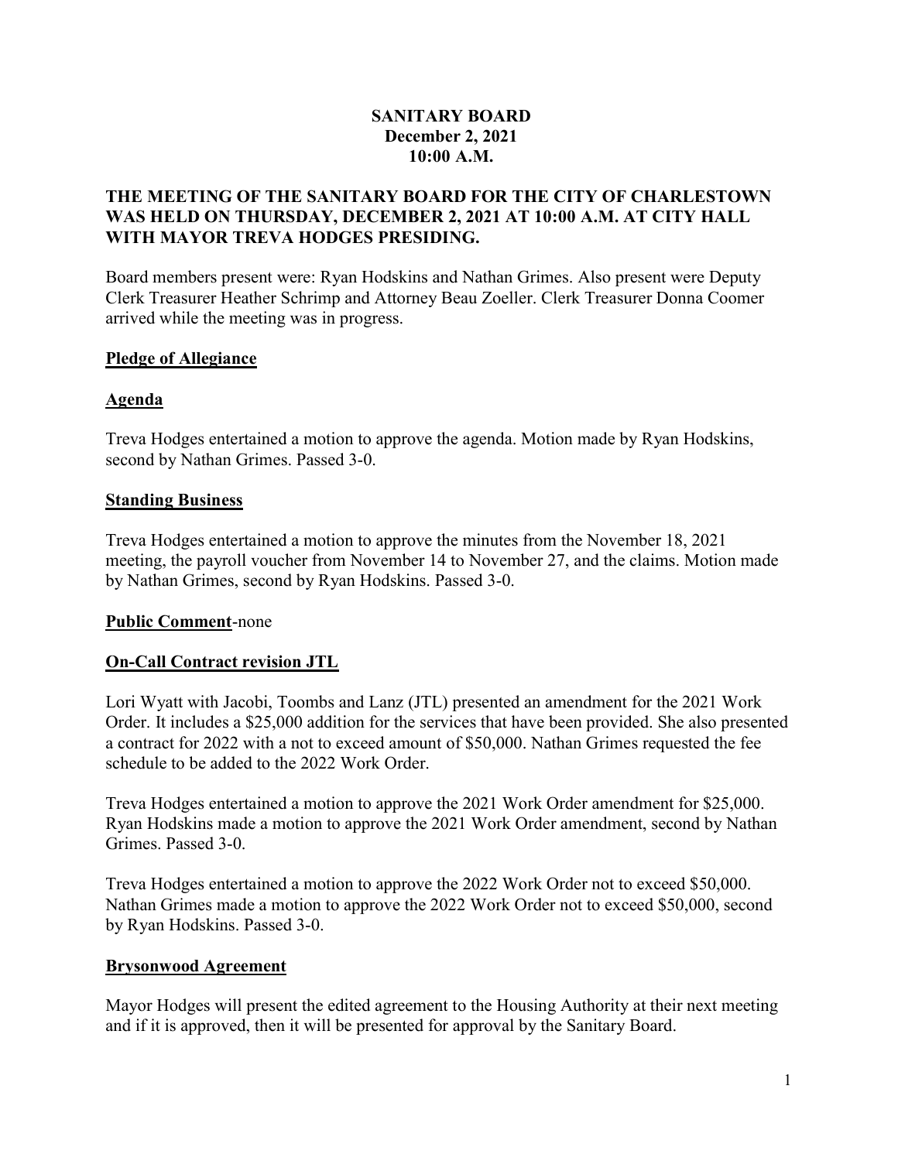# SANITARY BOARD December 2, 2021 10:00 A.M.

# THE MEETING OF THE SANITARY BOARD FOR THE CITY OF CHARLESTOWN WAS HELD ON THURSDAY, DECEMBER 2, 2021 AT 10:00 A.M. AT CITY HALL WITH MAYOR TREVA HODGES PRESIDING.

Board members present were: Ryan Hodskins and Nathan Grimes. Also present were Deputy Clerk Treasurer Heather Schrimp and Attorney Beau Zoeller. Clerk Treasurer Donna Coomer arrived while the meeting was in progress.

# Pledge of Allegiance

# Agenda

Treva Hodges entertained a motion to approve the agenda. Motion made by Ryan Hodskins, second by Nathan Grimes. Passed 3-0.

# Standing Business

Treva Hodges entertained a motion to approve the minutes from the November 18, 2021 meeting, the payroll voucher from November 14 to November 27, and the claims. Motion made by Nathan Grimes, second by Ryan Hodskins. Passed 3-0.

# Public Comment-none

# On-Call Contract revision JTL

Lori Wyatt with Jacobi, Toombs and Lanz (JTL) presented an amendment for the 2021 Work Order. It includes a \$25,000 addition for the services that have been provided. She also presented a contract for 2022 with a not to exceed amount of \$50,000. Nathan Grimes requested the fee schedule to be added to the 2022 Work Order.

Treva Hodges entertained a motion to approve the 2021 Work Order amendment for \$25,000. Ryan Hodskins made a motion to approve the 2021 Work Order amendment, second by Nathan Grimes. Passed 3-0.

Treva Hodges entertained a motion to approve the 2022 Work Order not to exceed \$50,000. Nathan Grimes made a motion to approve the 2022 Work Order not to exceed \$50,000, second by Ryan Hodskins. Passed 3-0.

# Brysonwood Agreement

Mayor Hodges will present the edited agreement to the Housing Authority at their next meeting and if it is approved, then it will be presented for approval by the Sanitary Board.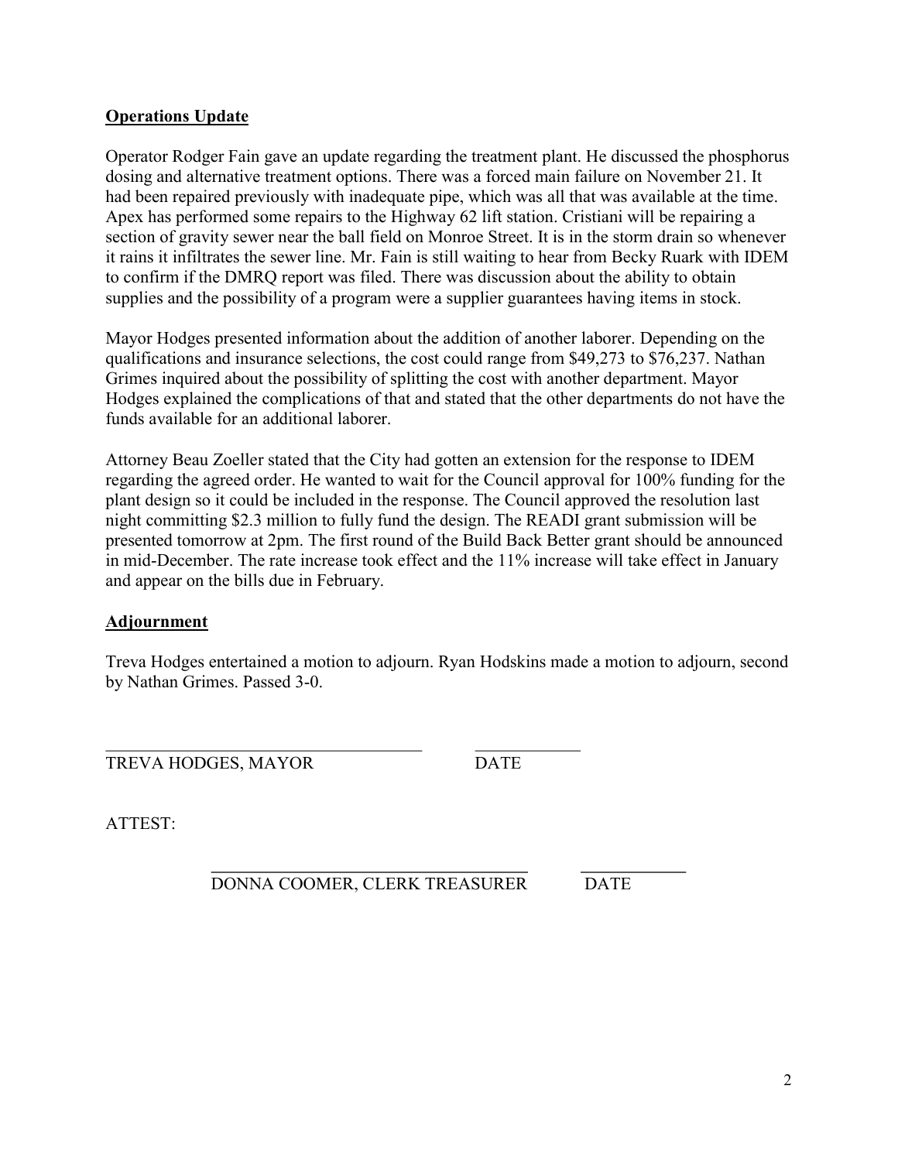# Operations Update

Operator Rodger Fain gave an update regarding the treatment plant. He discussed the phosphorus dosing and alternative treatment options. There was a forced main failure on November 21. It had been repaired previously with inadequate pipe, which was all that was available at the time. Apex has performed some repairs to the Highway 62 lift station. Cristiani will be repairing a section of gravity sewer near the ball field on Monroe Street. It is in the storm drain so whenever it rains it infiltrates the sewer line. Mr. Fain is still waiting to hear from Becky Ruark with IDEM to confirm if the DMRQ report was filed. There was discussion about the ability to obtain supplies and the possibility of a program were a supplier guarantees having items in stock.

Mayor Hodges presented information about the addition of another laborer. Depending on the qualifications and insurance selections, the cost could range from \$49,273 to \$76,237. Nathan Grimes inquired about the possibility of splitting the cost with another department. Mayor Hodges explained the complications of that and stated that the other departments do not have the funds available for an additional laborer.

Attorney Beau Zoeller stated that the City had gotten an extension for the response to IDEM regarding the agreed order. He wanted to wait for the Council approval for 100% funding for the plant design so it could be included in the response. The Council approved the resolution last night committing \$2.3 million to fully fund the design. The READI grant submission will be presented tomorrow at 2pm. The first round of the Build Back Better grant should be announced in mid-December. The rate increase took effect and the 11% increase will take effect in January and appear on the bills due in February.

# Adjournment

Treva Hodges entertained a motion to adjourn. Ryan Hodskins made a motion to adjourn, second by Nathan Grimes. Passed 3-0.

 $\overline{a}$ TREVA HODGES, MAYOR DATE

ATTEST:

 $\overline{a}$ DONNA COOMER, CLERK TREASURER DATE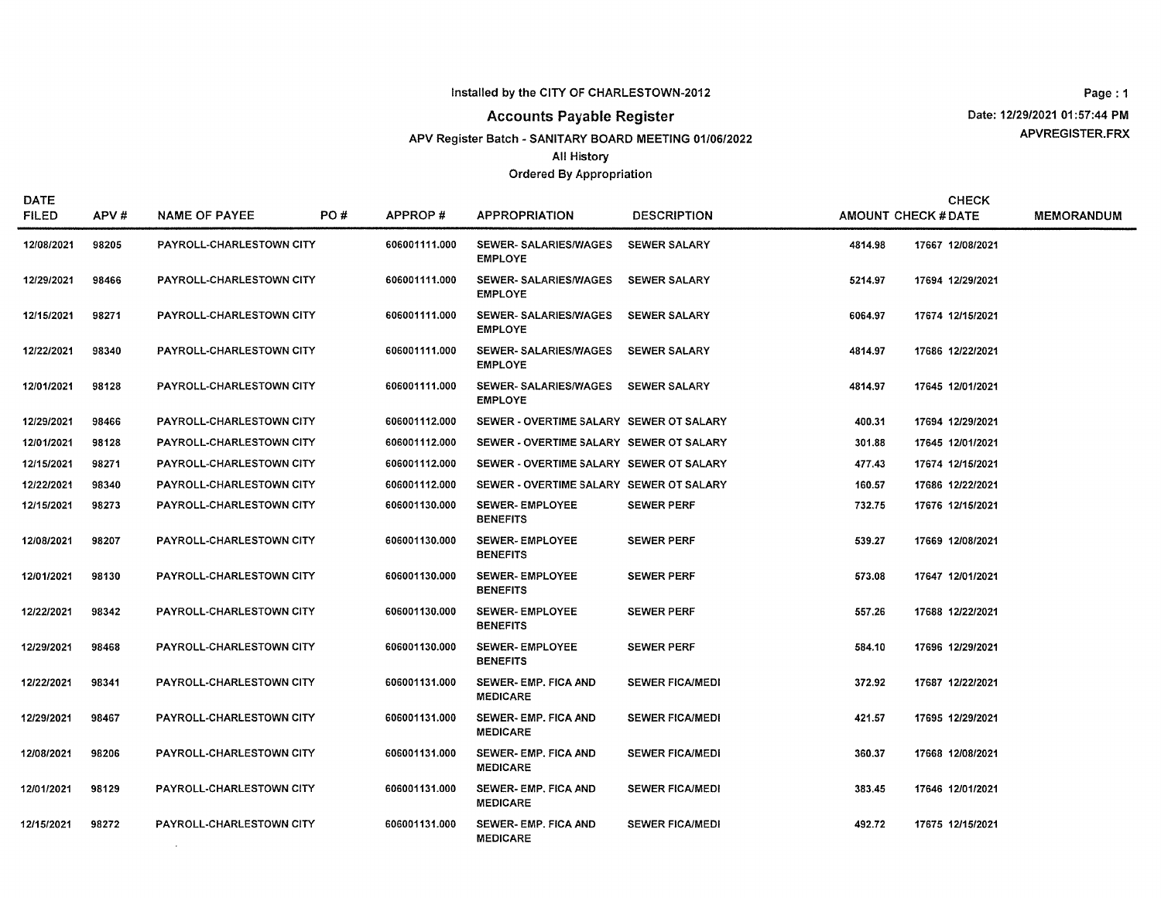## **Accounts Payable Register**

APV Register Batch - SANITARY BOARD MEETING 01/06/2022

**All History** 

#### **Ordered By Appropriation**

Page: 1 Date: 12/29/2021 01:57:44 PM APVREGISTER.FRX

| <b>DATE</b><br><b>FILED</b> | APV#  | <b>NAME OF PAYEE</b>            | PO# | APPROP#       | <b>APPROPRIATION</b>                           | <b>DESCRIPTION</b>     |         | <b>CHECK</b><br><b>AMOUNT CHECK # DATE</b> | <b>MEMORANDUM</b> |
|-----------------------------|-------|---------------------------------|-----|---------------|------------------------------------------------|------------------------|---------|--------------------------------------------|-------------------|
| 12/08/2021                  | 98205 | PAYROLL-CHARLESTOWN CITY        |     | 606001111.000 | <b>SEWER- SALARIES/WAGES</b><br><b>EMPLOYE</b> | <b>SEWER SALARY</b>    | 4814.98 | 17667 12/08/2021                           |                   |
| 12/29/2021                  | 98466 | PAYROLL-CHARLESTOWN CITY        |     | 606001111.000 | <b>SEWER-SALARIES/WAGES</b><br><b>EMPLOYE</b>  | <b>SEWER SALARY</b>    | 5214.97 | 17694 12/29/2021                           |                   |
| 12/15/2021                  | 98271 | PAYROLL CHARLESTOWN CITY        |     | 606001111.000 | <b>SEWER-SALARIES/WAGES</b><br><b>EMPLOYE</b>  | <b>SEWER SALARY</b>    | 6064.97 | 17674 12/15/2021                           |                   |
| 12/22/2021                  | 98340 | PAYROLL-CHARLESTOWN CITY        |     | 606001111.000 | <b>SEWER-SALARIES/WAGES</b><br><b>EMPLOYE</b>  | <b>SEWER SALARY</b>    | 4814.97 | 17686 12/22/2021                           |                   |
| 12/01/2021                  | 98128 | PAYROLL-CHARLESTOWN CITY        |     | 606001111.000 | <b>SEWER-SALARIES/WAGES</b><br><b>EMPLOYE</b>  | <b>SEWER SALARY</b>    | 4814.97 | 17645 12/01/2021                           |                   |
| 12/29/2021                  | 98466 | PAYROLL-CHARLESTOWN CITY        |     | 606001112.000 | SEWER - OVERTIME SALARY SEWER OT SALARY        |                        | 400.31  | 17694 12/29/2021                           |                   |
| 12/01/2021                  | 98128 | <b>PAYROLL-CHARLESTOWN CITY</b> |     | 606001112.000 | SEWER - OVERTIME SALARY SEWER OT SALARY        |                        | 301.88  | 17645 12/01/2021                           |                   |
| 12/15/2021                  | 98271 | PAYROLL-CHARLESTOWN CITY        |     | 606001112.000 | SEWER - OVERTIME SALARY SEWER OT SALARY        |                        | 477.43  | 17674 12/15/2021                           |                   |
| 12/22/2021                  | 98340 | PAYROLL-CHARLESTOWN CITY        |     | 606001112.000 | SEWER - OVERTIME SALARY SEWER OT SALARY        |                        | 160.57  | 17686 12/22/2021                           |                   |
| 12/15/2021                  | 98273 | PAYROLL-CHARLESTOWN CITY        |     | 606001130.000 | <b>SEWER-EMPLOYEE</b><br><b>BENEFITS</b>       | <b>SEWER PERF</b>      | 732.75  | 17676 12/15/2021                           |                   |
| 12/08/2021                  | 98207 | PAYROLL-CHARLESTOWN CITY        |     | 606001130.000 | <b>SEWER-EMPLOYEE</b><br><b>BENEFITS</b>       | <b>SEWER PERF</b>      | 539.27  | 17669 12/08/2021                           |                   |
| 12/01/2021                  | 98130 | PAYROLL-CHARLESTOWN CITY        |     | 606001130.000 | <b>SEWER-EMPLOYEE</b><br><b>BENEFITS</b>       | <b>SEWER PERF</b>      | 573.08  | 17647 12/01/2021                           |                   |
| 12/22/2021                  | 98342 | PAYROLL-CHARLESTOWN CITY        |     | 606001130.000 | <b>SEWER-EMPLOYEE</b><br><b>BENEFITS</b>       | <b>SEWER PERF</b>      | 557.26  | 17688 12/22/2021                           |                   |
| 12/29/2021                  | 98468 | PAYROLL-CHARLESTOWN CITY        |     | 606001130.000 | <b>SEWER-EMPLOYEE</b><br><b>BENEFITS</b>       | <b>SEWER PERF</b>      | 584.10  | 17696 12/29/2021                           |                   |
| 12/22/2021                  | 98341 | PAYROLL-CHARLESTOWN CITY        |     | 606001131.000 | SEWER- EMP. FICA AND<br><b>MEDICARE</b>        | <b>SEWER FICA/MEDI</b> | 372.92  | 17687 12/22/2021                           |                   |
| 12/29/2021                  | 98467 | PAYROLL-CHARLESTOWN CITY        |     | 606001131.000 | <b>SEWER- EMP. FICA AND</b><br><b>MEDICARE</b> | <b>SEWER FICA/MEDI</b> | 421.57  | 17695 12/29/2021                           |                   |
| 12/08/2021                  | 98206 | <b>PAYROLL-CHARLESTOWN CITY</b> |     | 606001131.000 | <b>SEWER-EMP, FICA AND</b><br><b>MEDICARE</b>  | <b>SEWER FICA/MEDI</b> | 360.37  | 17668 12/08/2021                           |                   |
| 12/01/2021                  | 98129 | PAYROLL-CHARLESTOWN CITY        |     | 606001131.000 | SEWER- EMP. FICA AND<br><b>MEDICARE</b>        | <b>SEWER FICA/MEDI</b> | 383.45  | 17646 12/01/2021                           |                   |
| 12/15/2021                  | 98272 | PAYROLL-CHARLESTOWN CITY        |     | 606001131.000 | SEWER-EMP. FICA AND<br><b>MEDICARE</b>         | <b>SEWER FICA/MEDI</b> | 492.72  | 17675 12/15/2021                           |                   |

 $\sim 1000$  km s  $^{-1}$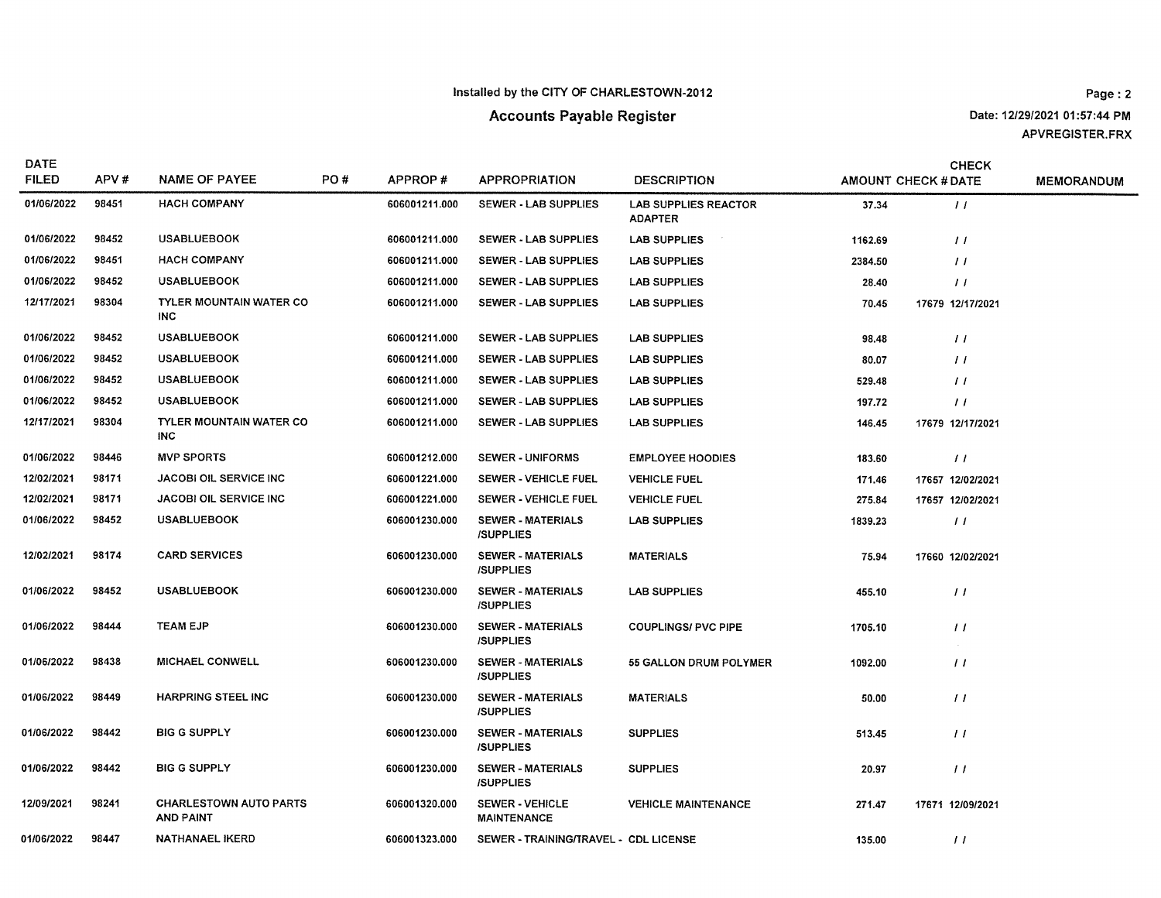# **Accounts Payable Register**

Date: 12/29/2021 01:57:44 PM APVREGISTER.FRX

| <b>DATE</b><br><b>FILED</b> | APV#  | <b>NAME OF PAYEE</b>                              | PO# | APPROP#       | <b>APPROPRIATION</b>                         | <b>DESCRIPTION</b>                            |         | <b>CHECK</b><br><b>AMOUNT CHECK # DATE</b> | <b>MEMORANDUM</b> |
|-----------------------------|-------|---------------------------------------------------|-----|---------------|----------------------------------------------|-----------------------------------------------|---------|--------------------------------------------|-------------------|
| 01/06/2022                  | 98451 | <b>HACH COMPANY</b>                               |     | 606001211.000 | SEWER - LAB SUPPLIES                         | <b>LAB SUPPLIES REACTOR</b><br><b>ADAPTER</b> | 37.34   | $\frac{1}{2}$                              |                   |
| 01/06/2022                  | 98452 | <b>USABLUEBOOK</b>                                |     | 606001211.000 | SEWER - LAB SUPPLIES                         | <b>LAB SUPPLIES</b>                           | 1162.69 | $\frac{1}{2}$                              |                   |
| 01/06/2022                  | 98451 | <b>HACH COMPANY</b>                               |     | 606001211.000 | <b>SEWER - LAB SUPPLIES</b>                  | <b>LAB SUPPLIES</b>                           | 2384.50 | $\frac{1}{2}$                              |                   |
| 01/06/2022                  | 98452 | <b>USABLUEBOOK</b>                                |     | 606001211.000 | SEWER - LAB SUPPLIES                         | <b>LAB SUPPLIES</b>                           | 28.40   | $\frac{1}{2}$                              |                   |
| 12/17/2021                  | 98304 | <b>TYLER MOUNTAIN WATER CO</b><br><b>INC</b>      |     | 606001211.000 | SEWER - LAB SUPPLIES                         | <b>LAB SUPPLIES</b>                           | 70.45   | 17679 12/17/2021                           |                   |
| 01/06/2022                  | 98452 | <b>USABLUEBOOK</b>                                |     | 606001211.000 | SEWER - LAB SUPPLIES                         | <b>LAB SUPPLIES</b>                           | 98.48   | $\frac{1}{2}$                              |                   |
| 01/06/2022                  | 98452 | <b>USABLUEBOOK</b>                                |     | 606001211.000 | <b>SEWER - LAB SUPPLIES</b>                  | <b>LAB SUPPLIES</b>                           | 80.07   | $\frac{1}{2}$                              |                   |
| 01/06/2022                  | 98452 | <b>USABLUEBOOK</b>                                |     | 606001211.000 | <b>SEWER - LAB SUPPLIES</b>                  | <b>LAB SUPPLIES</b>                           | 529.48  | $\frac{1}{2}$                              |                   |
| 01/06/2022                  | 98452 | <b>USABLUEBOOK</b>                                |     | 606001211.000 | SEWER - LAB SUPPLIES                         | <b>LAB SUPPLIES</b>                           | 197.72  | $\frac{1}{2}$                              |                   |
| 12/17/2021                  | 98304 | <b>TYLER MOUNTAIN WATER CO</b><br><b>INC</b>      |     | 606001211.000 | <b>SEWER - LAB SUPPLIES</b>                  | <b>LAB SUPPLIES</b>                           | 146.45  | 17679 12/17/2021                           |                   |
| 01/06/2022                  | 98446 | <b>MVP SPORTS</b>                                 |     | 606001212.000 | <b>SEWER - UNIFORMS</b>                      | <b>EMPLOYEE HOODIES</b>                       | 183.60  | $\prime\prime$                             |                   |
| 12/02/2021                  | 98171 | <b>JACOBI OIL SERVICE INC</b>                     |     | 606001221.000 | <b>SEWER - VEHICLE FUEL</b>                  | <b>VEHICLE FUEL</b>                           | 171,46  | 17657 12/02/2021                           |                   |
| 12/02/2021                  | 98171 | <b>JACOBI OIL SERVICE INC</b>                     |     | 606001221.000 | <b>SEWER - VEHICLE FUEL</b>                  | <b>VEHICLE FUEL</b>                           | 275.84  | 17657 12/02/2021                           |                   |
| 01/06/2022                  | 98452 | <b>USABLUEBOOK</b>                                |     | 606001230.000 | <b>SEWER - MATERIALS</b><br><b>/SUPPLIES</b> | <b>LAB SUPPLIES</b>                           | 1839.23 | $\frac{1}{2}$                              |                   |
| 12/02/2021                  | 98174 | <b>CARD SERVICES</b>                              |     | 606001230.000 | <b>SEWER - MATERIALS</b><br><b>ISUPPLIES</b> | <b>MATERIALS</b>                              | 75.94   | 17660 12/02/2021                           |                   |
| 01/06/2022                  | 98452 | <b>USABLUEBOOK</b>                                |     | 606001230.000 | <b>SEWER - MATERIALS</b><br><b>/SUPPLIES</b> | <b>LAB SUPPLIES</b>                           | 455.10  | $\frac{1}{2}$                              |                   |
| 01/06/2022                  | 98444 | <b>TEAM EJP</b>                                   |     | 606001230.000 | <b>SEWER - MATERIALS</b><br><b>/SUPPLIES</b> | <b>COUPLINGS/ PVC PIPE</b>                    | 1705.10 | $\prime\prime$<br>$\sim$                   |                   |
| 01/06/2022                  | 98438 | MICHAEL CONWELL                                   |     | 606001230.000 | <b>SEWER - MATERIALS</b><br><b>/SUPPLIES</b> | <b>55 GALLON DRUM POLYMER</b>                 | 1092.00 | $\frac{1}{2}$                              |                   |
| 01/06/2022                  | 98449 | <b>HARPRING STEEL INC</b>                         |     | 606001230.000 | <b>SEWER - MATERIALS</b><br><b>/SUPPLIES</b> | <b>MATERIALS</b>                              | 50.00   | $\prime\prime$                             |                   |
| 01/06/2022                  | 98442 | <b>BIG G SUPPLY</b>                               |     | 606001230.000 | <b>SEWER - MATERIALS</b><br><b>/SUPPLIES</b> | <b>SUPPLIES</b>                               | 513.45  | $\frac{1}{2}$                              |                   |
| 01/06/2022                  | 98442 | <b>BIG G SUPPLY</b>                               |     | 606001230.000 | <b>SEWER - MATERIALS</b><br><b>/SUPPLIES</b> | <b>SUPPLIES</b>                               | 20.97   | $\frac{1}{2}$                              |                   |
| 12/09/2021                  | 98241 | <b>CHARLESTOWN AUTO PARTS</b><br><b>AND PAINT</b> |     | 606001320.000 | <b>SEWER - VEHICLE</b><br><b>MAINTENANCE</b> | <b>VEHICLE MAINTENANCE</b>                    | 271.47  | 17671 12/09/2021                           |                   |
| 01/06/2022                  | 98447 | <b>NATHANAEL IKERD</b>                            |     | 606001323.000 | SEWER - TRAINING/TRAVEL - CDL LICENSE        |                                               | 135.00  | $\frac{1}{2}$                              |                   |
|                             |       |                                                   |     |               |                                              |                                               |         |                                            |                   |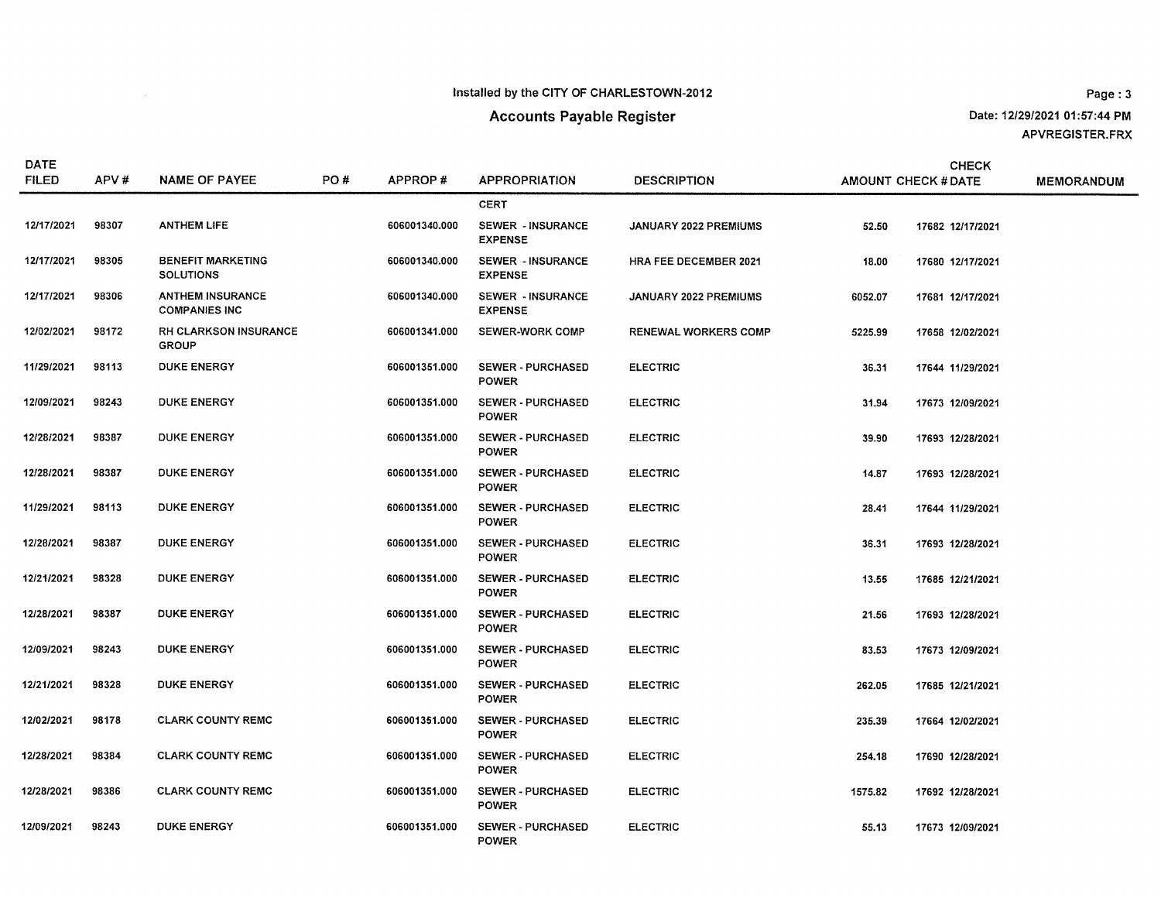# **Accounts Payable Register**

Page: 3 Date: 12/29/2021 01:57:44 PM APVREGISTER.FRX

| <b>DATE</b><br><b>FILED</b> | APV#  | <b>NAME OF PAYEE</b>                            | PO# | APPROP#       | <b>APPROPRIATION</b>                       | <b>DESCRIPTION</b>           |         | <b>CHECK</b><br><b>AMOUNT CHECK # DATE</b> | <b>MEMORANDUM</b> |
|-----------------------------|-------|-------------------------------------------------|-----|---------------|--------------------------------------------|------------------------------|---------|--------------------------------------------|-------------------|
|                             |       |                                                 |     |               | <b>CERT</b>                                |                              |         |                                            |                   |
| 12/17/2021                  | 98307 | <b>ANTHEM LIFE</b>                              |     | 606001340.000 | <b>SEWER - INSURANCE</b><br><b>EXPENSE</b> | JANUARY 2022 PREMIUMS        | 52.50   | 17682 12/17/2021                           |                   |
| 12/17/2021                  | 98305 | <b>BENEFIT MARKETING</b><br><b>SOLUTIONS</b>    |     | 606001340.000 | <b>SEWER - INSURANCE</b><br><b>EXPENSE</b> | <b>HRA FEE DECEMBER 2021</b> | 18.00   | 17680 12/17/2021                           |                   |
| 12/17/2021                  | 98306 | <b>ANTHEM INSURANCE</b><br><b>COMPANIES INC</b> |     | 606001340.000 | <b>SEWER - INSURANCE</b><br><b>EXPENSE</b> | <b>JANUARY 2022 PREMIUMS</b> | 6052.07 | 17681 12/17/2021                           |                   |
| 12/02/2021                  | 98172 | <b>RH CLARKSON INSURANCE</b><br><b>GROUP</b>    |     | 606001341.000 | <b>SEWER-WORK COMP</b>                     | <b>RENEWAL WORKERS COMP</b>  | 5225.99 | 17658 12/02/2021                           |                   |
| 11/29/2021                  | 98113 | <b>DUKE ENERGY</b>                              |     | 606001351.000 | <b>SEWER - PURCHASED</b><br><b>POWER</b>   | <b>ELECTRIC</b>              | 36.31   | 17644 11/29/2021                           |                   |
| 12/09/2021                  | 98243 | <b>DUKE ENERGY</b>                              |     | 606001351.000 | <b>SEWER - PURCHASED</b><br><b>POWER</b>   | <b>ELECTRIC</b>              | 31.94   | 17673 12/09/2021                           |                   |
| 12/28/2021                  | 98387 | <b>DUKE ENERGY</b>                              |     | 606001351.000 | <b>SEWER - PURCHASED</b><br><b>POWER</b>   | <b>ELECTRIC</b>              | 39.90   | 17693 12/28/2021                           |                   |
| 12/28/2021                  | 98387 | <b>DUKE ENERGY</b>                              |     | 606001351.000 | <b>SEWER - PURCHASED</b><br><b>POWER</b>   | <b>ELECTRIC</b>              | 14.87   | 17693 12/28/2021                           |                   |
| 11/29/2021                  | 98113 | <b>DUKE ENERGY</b>                              |     | 606001351.000 | <b>SEWER - PURCHASED</b><br><b>POWER</b>   | <b>ELECTRIC</b>              | 28.41   | 17644 11/29/2021                           |                   |
| 12/28/2021                  | 98387 | <b>DUKE ENERGY</b>                              |     | 606001351.000 | <b>SEWER - PURCHASED</b><br><b>POWER</b>   | <b>ELECTRIC</b>              | 36.31   | 17693 12/28/2021                           |                   |
| 12/21/2021                  | 98328 | <b>DUKE ENERGY</b>                              |     | 606001351.000 | <b>SEWER - PURCHASED</b><br><b>POWER</b>   | <b>ELECTRIC</b>              | 13.55   | 17685 12/21/2021                           |                   |
| 12/28/2021                  | 98387 | <b>DUKE ENERGY</b>                              |     | 606001351.000 | <b>SEWER - PURCHASED</b><br><b>POWER</b>   | <b>ELECTRIC</b>              | 21.56   | 17693 12/28/2021                           |                   |
| 12/09/2021                  | 98243 | <b>DUKE ENERGY</b>                              |     | 606001351.000 | <b>SEWER - PURCHASED</b><br><b>POWER</b>   | <b>ELECTRIC</b>              | 83.53   | 17673 12/09/2021                           |                   |
| 12/21/2021                  | 98328 | <b>DUKE ENERGY</b>                              |     | 606001351.000 | <b>SEWER - PURCHASED</b><br><b>POWER</b>   | <b>ELECTRIC</b>              | 262.05  | 17685 12/21/2021                           |                   |
| 12/02/2021                  | 98178 | <b>CLARK COUNTY REMC</b>                        |     | 606001351.000 | <b>SEWER - PURCHASED</b><br><b>POWER</b>   | <b>ELECTRIC</b>              | 235.39  | 17664 12/02/2021                           |                   |
| 12/28/2021                  | 98384 | <b>CLARK COUNTY REMC</b>                        |     | 606001351.000 | <b>SEWER - PURCHASED</b><br><b>POWER</b>   | <b>ELECTRIC</b>              | 254.18  | 17690 12/28/2021                           |                   |
| 12/28/2021                  | 98386 | <b>CLARK COUNTY REMC</b>                        |     | 606001351.000 | <b>SEWER - PURCHASED</b><br><b>POWER</b>   | <b>ELECTRIC</b>              | 1575.82 | 17692 12/28/2021                           |                   |
| 12/09/2021                  | 98243 | <b>DUKE ENERGY</b>                              |     | 606001351.000 | <b>SEWER - PURCHASED</b><br><b>POWER</b>   | <b>ELECTRIC</b>              | 55.13   | 17673 12/09/2021                           |                   |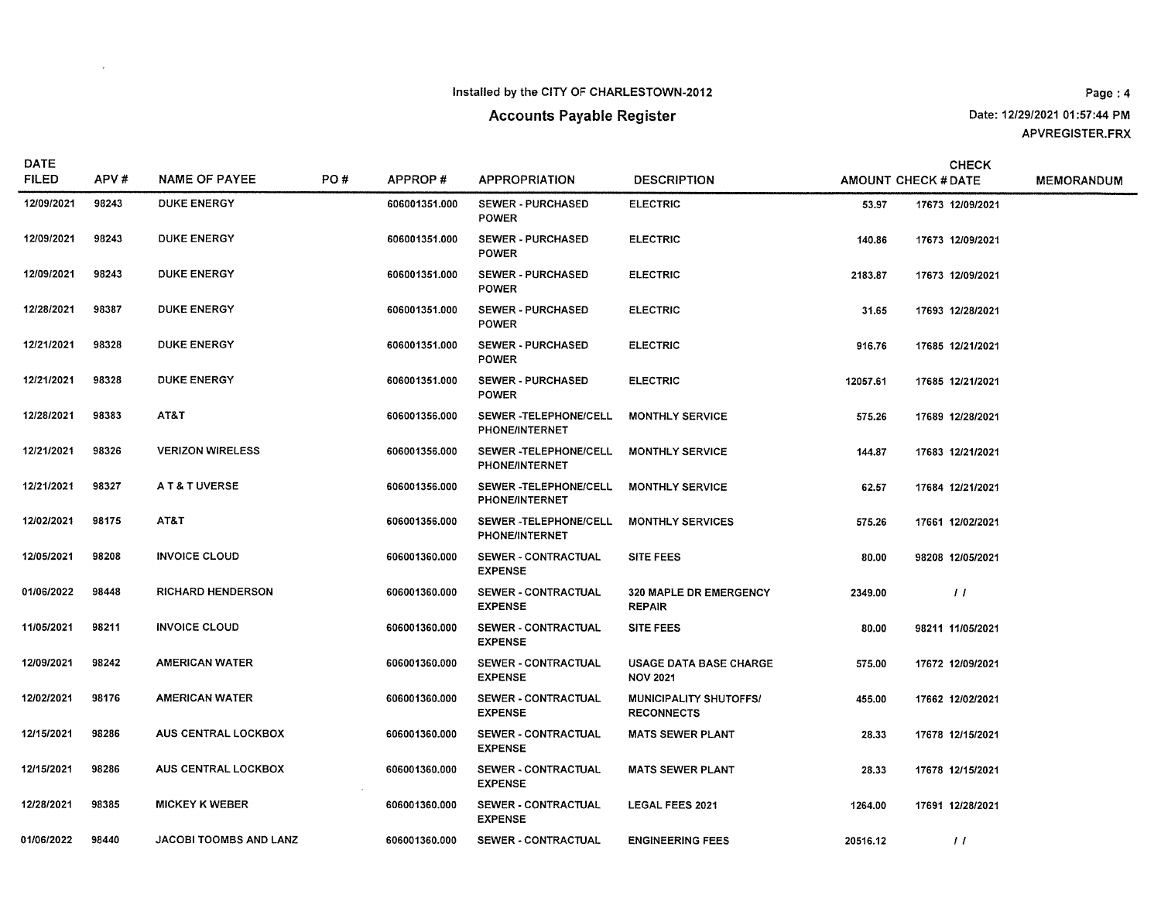$\mathcal{L}^{\text{max}}_{\text{max}}$ 

# **Accounts Payable Register**

Page: 4 Date: 12/29/2021 01:57:44 PM APVREGISTER.FRX

| DATE<br><b>FILED</b> | APV#  | <b>NAME OF PAYEE</b>     | PO# | APPROP#       | <b>APPROPRIATION</b>                           | <b>DESCRIPTION</b>                                 |          | <b>CHECK</b><br>AMOUNT CHECK # DATE | <b>MEMORANDUM</b> |
|----------------------|-------|--------------------------|-----|---------------|------------------------------------------------|----------------------------------------------------|----------|-------------------------------------|-------------------|
| 12/09/2021           | 98243 | <b>DUKE ENERGY</b>       |     | 606001351.000 | <b>SEWER - PURCHASED</b><br><b>POWER</b>       | <b>ELECTRIC</b>                                    | 53.97    | 17673 12/09/2021                    |                   |
| 12/09/2021           | 98243 | <b>DUKE ENERGY</b>       |     | 606001351.000 | <b>SEWER - PURCHASED</b><br><b>POWER</b>       | <b>ELECTRIC</b>                                    | 140.86   | 17673 12/09/2021                    |                   |
| 12/09/2021           | 98243 | <b>DUKE ENERGY</b>       |     | 606001351.000 | <b>SEWER - PURCHASED</b><br><b>POWER</b>       | <b>ELECTRIC</b>                                    | 2183.87  | 17673 12/09/2021                    |                   |
| 12/28/2021           | 98387 | <b>DUKE ENERGY</b>       |     | 606001351.000 | <b>SEWER - PURCHASED</b><br><b>POWER</b>       | <b>ELECTRIC</b>                                    | 31.65    | 17693 12/28/2021                    |                   |
| 12/21/2021           | 98328 | <b>DUKE ENERGY</b>       |     | 606001351.000 | <b>SEWER - PURCHASED</b><br><b>POWER</b>       | <b>ELECTRIC</b>                                    | 916.76   | 17685 12/21/2021                    |                   |
| 12/21/2021           | 98328 | <b>DUKE ENERGY</b>       |     | 606001351.000 | SEWER - PURCHASED<br><b>POWER</b>              | <b>ELECTRIC</b>                                    | 12057.61 | 17685 12/21/2021                    |                   |
| 12/28/2021           | 98383 | AT&T                     |     | 606001356.000 | SEWER -TELEPHONE/CELL<br>PHONE/INTERNET        | <b>MONTHLY SERVICE</b>                             | 575.26   | 17689 12/28/2021                    |                   |
| 12/21/2021           | 98326 | <b>VERIZON WIRELESS</b>  |     | 606001356.000 | SEWER -TELEPHONE/CELL<br><b>PHONE/INTERNET</b> | <b>MONTHLY SERVICE</b>                             | 144.87   | 17683 12/21/2021                    |                   |
| 12/21/2021           | 98327 | A T & T UVERSE           |     | 606001356.000 | SEWER -TELEPHONE/CELL<br><b>PHONE/INTERNET</b> | <b>MONTHLY SERVICE</b>                             | 62.57    | 17684 12/21/2021                    |                   |
| 12/02/2021           | 98175 | AT&T                     |     | 606001356.000 | SEWER -TELEPHONE/CELL<br><b>PHONE/INTERNET</b> | <b>MONTHLY SERVICES</b>                            | 575.26   | 17661 12/02/2021                    |                   |
| 12/05/2021           | 98208 | <b>INVOICE CLOUD</b>     |     | 606001360.000 | <b>SEWER - CONTRACTUAL</b><br><b>EXPENSE</b>   | <b>SITE FEES</b>                                   | 80.00    | 98208 12/05/2021                    |                   |
| 01/06/2022           | 98448 | <b>RICHARD HENDERSON</b> |     | 606001360.000 | SEWER - CONTRACTUAL<br><b>EXPENSE</b>          | <b>320 MAPLE DR EMERGENCY</b><br><b>REPAIR</b>     | 2349.00  | $\frac{1}{2}$                       |                   |
| 11/05/2021           | 98211 | <b>INVOICE CLOUD</b>     |     | 606001360.000 | SEWER - CONTRACTUAL<br><b>EXPENSE</b>          | <b>SITE FEES</b>                                   | 80.00    | 98211 11/05/2021                    |                   |
| 12/09/2021           | 98242 | <b>AMERICAN WATER</b>    |     | 606001360.000 | SEWER - CONTRACTUAL<br><b>EXPENSE</b>          | <b>USAGE DATA BASE CHARGE</b><br><b>NOV 2021</b>   | 575.00   | 17672 12/09/2021                    |                   |
| 12/02/2021           | 98176 | <b>AMERICAN WATER</b>    |     | 606001360.000 | SEWER - CONTRACTUAL<br><b>EXPENSE</b>          | <b>MUNICIPALITY SHUTOFFS/</b><br><b>RECONNECTS</b> | 455.00   | 17662 12/02/2021                    |                   |
| 12/15/2021           | 98286 | AUS CENTRAL LOCKBOX      |     | 606001360.000 | SEWER - CONTRACTUAL<br><b>EXPENSE</b>          | <b>MATS SEWER PLANT</b>                            | 28.33    | 17678 12/15/2021                    |                   |
| 12/15/2021           | 98286 | AUS CENTRAL LOCKBOX      |     | 606001360.000 | SEWER - CONTRACTUAL<br><b>EXPENSE</b>          | <b>MATS SEWER PLANT</b>                            | 28.33    | 17678 12/15/2021                    |                   |
| 12/28/2021           | 98385 | <b>MICKEY K WEBER</b>    |     | 606001360.000 | SEWER - CONTRACTUAL<br><b>EXPENSE</b>          | <b>LEGAL FEES 2021</b>                             | 1264.00  | 17691 12/28/2021                    |                   |
| 01/06/2022           | 98440 | JACOBI TOOMBS AND LANZ   |     | 606001360.000 | <b>SEWER - CONTRACTUAL</b>                     | <b>ENGINEERING FEES</b>                            | 20516.12 | $\perp$                             |                   |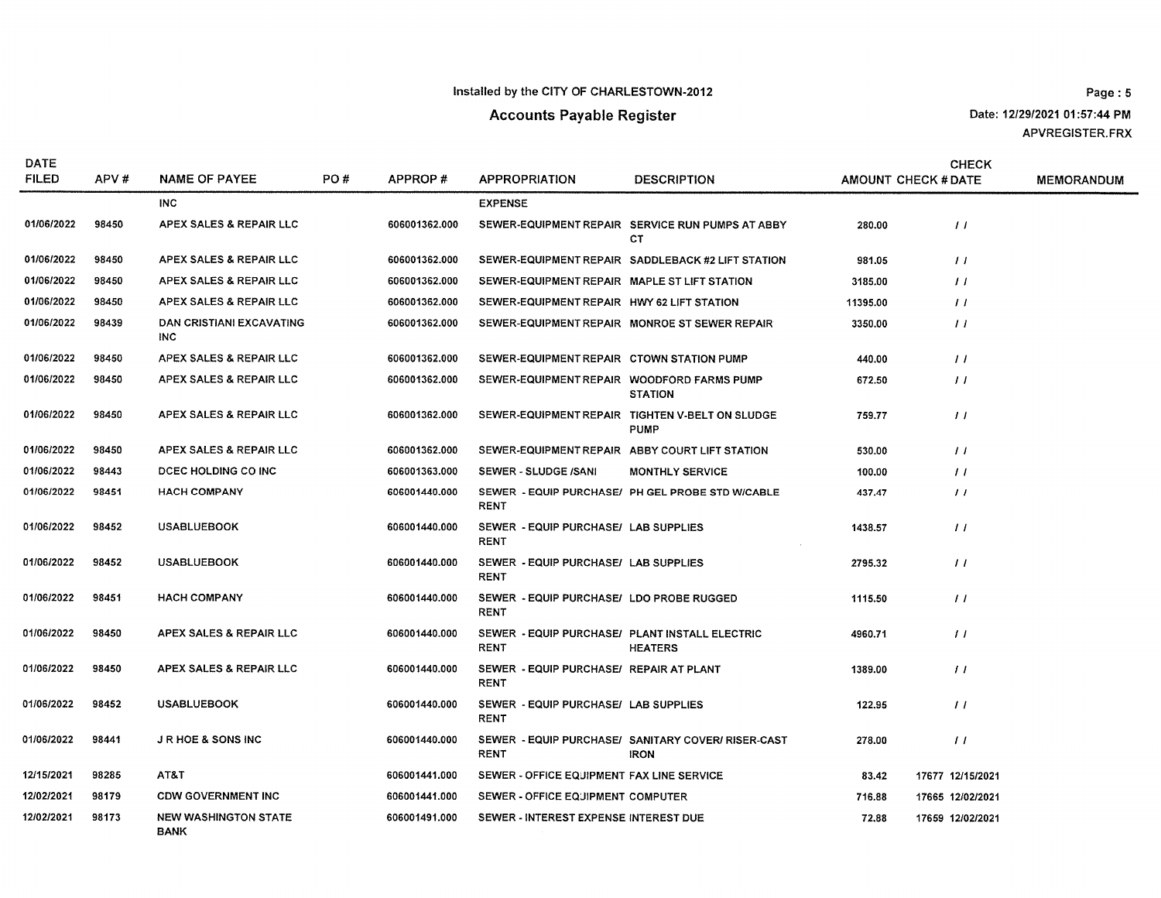Date: 12/29/2021 01:57:44 PM APVREGISTER.FRX

| <b>DATE</b><br><b>FILED</b> | APV#  | <b>NAME OF PAYEE</b>                       | PO# | APPROP#       | <b>APPROPRIATION</b>                                          | <b>DESCRIPTION</b>                                                |          | <b>CHECK</b><br><b>AMOUNT CHECK # DATE</b> | <b>MEMORANDUM</b> |
|-----------------------------|-------|--------------------------------------------|-----|---------------|---------------------------------------------------------------|-------------------------------------------------------------------|----------|--------------------------------------------|-------------------|
|                             |       | INC.                                       |     |               | <b>EXPENSE</b>                                                |                                                                   |          |                                            |                   |
| 01/06/2022                  | 98450 | APEX SALES & REPAIR LLC                    |     | 606001362.000 |                                                               | SEWER-EQUIPMENT REPAIR SERVICE RUN PUMPS AT ABBY<br>СT            | 280.00   | $\frac{1}{2}$                              |                   |
| 01/06/2022                  | 98450 | APEX SALES & REPAIR LLC                    |     | 606001362.000 |                                                               | SEWER-EQUIPMENT REPAIR SADDLEBACK #2 LIFT STATION                 | 981.05   | $\prime\prime$                             |                   |
| 01/06/2022                  | 98450 | APEX SALES & REPAIR LLC                    |     | 606001362.000 | SEWER-EQUIPMENT REPAIR MAPLE ST LIFT STATION                  |                                                                   | 3185.00  | $\frac{1}{2}$                              |                   |
| 01/06/2022                  | 98450 | APEX SALES & REPAIR LLC                    |     | 606001362.000 | SEWER-EQUIPMENT REPAIR HWY 62 LIFT STATION                    |                                                                   | 11395.00 | $\prime\prime$                             |                   |
| 01/06/2022                  | 98439 | DAN CRISTIANI EXCAVATING<br>INC            |     | 606001362.000 |                                                               | SEWER-EQUIPMENT REPAIR MONROE ST SEWER REPAIR                     | 3350.00  | $\prime\prime$                             |                   |
| 01/06/2022                  | 98450 | APEX SALES & REPAIR LLC                    |     | 606001362.000 | SEWER-EQUIPMENT REPAIR CTOWN STATION PUMP                     |                                                                   | 440.00   | 11                                         |                   |
| 01/06/2022                  | 98450 | APEX SALES & REPAIR LLC                    |     | 606001362.000 | SEWER-EQUIPMENT REPAIR WOODFORD FARMS PUMP                    | <b>STATION</b>                                                    | 672.50   | $\frac{1}{2}$                              |                   |
| 01/06/2022                  | 98450 | APEX SALES & REPAIR LLC                    |     | 606001362.000 |                                                               | SEWER-EQUIPMENT REPAIR TIGHTEN V-BELT ON SLUDGE<br><b>PUMP</b>    | 759.77   | $\prime\prime$                             |                   |
| 01/06/2022                  | 98450 | APEX SALES & REPAIR LLC                    |     | 606001362.000 |                                                               | SEWER-EQUIPMENT REPAIR ABBY COURT LIFT STATION                    | 530.00   | $\frac{1}{2}$                              |                   |
| 01/06/2022                  | 98443 | DCEC HOLDING CO INC                        |     | 606001363.000 | SEWER - SLUDGE /SANI                                          | <b>MONTHLY SERVICE</b>                                            | 100.00   | $\frac{1}{2}$                              |                   |
| 01/06/2022                  | 98451 | <b>HACH COMPANY</b>                        |     | 606001440.000 | <b>RENT</b>                                                   | SEWER - EQUIP PURCHASE/ PH GEL PROBE STD WICABLE                  | 437.47   | $\frac{1}{2}$                              |                   |
| 01/06/2022                  | 98452 | <b>USABLUEBOOK</b>                         |     | 606001440.000 | SEWER - EQUIP PURCHASE/ LAB SUPPLIES<br><b>RENT</b>           |                                                                   | 1438.57  | $\prime\prime$                             |                   |
| 01/06/2022                  | 98452 | <b>USABLUEBOOK</b>                         |     | 606001440.000 | SEWER - EQUIP PURCHASE/ LAB SUPPLIES<br><b>RENT</b>           |                                                                   | 2795.32  | $\prime\prime$                             |                   |
| 01/06/2022                  | 98451 | <b>HACH COMPANY</b>                        |     | 606001440.000 | SEWER - EQUIP PURCHASE/ LDO PROBE RUGGED<br><b>RENT</b>       |                                                                   | 1115.50  | $\frac{1}{2}$                              |                   |
| 01/06/2022                  | 98450 | APEX SALES & REPAIR LLC                    |     | 606001440.000 | SEWER - EQUIP PURCHASE/ PLANT INSTALL ELECTRIC<br><b>RENT</b> | <b>HEATERS</b>                                                    | 4960.71  | $\prime\prime$                             |                   |
| 01/06/2022                  | 98450 | APEX SALES & REPAIR LLC                    |     | 606001440.000 | SEWER - EQUIP PURCHASE/ REPAIR AT PLANT<br><b>RENT</b>        |                                                                   | 1389.00  | $\prime\prime$                             |                   |
| 01/06/2022                  | 98452 | <b>USABLUEBOOK</b>                         |     | 606001440.000 | SEWER - EQUIP PURCHASE/ LAB SUPPLIES<br><b>RENT</b>           |                                                                   | 122.95   | $\frac{1}{2}$                              |                   |
| 01/06/2022                  | 98441 | <b>JRHOE &amp; SONS INC</b>                |     | 606001440.000 | <b>RENT</b>                                                   | SEWER - EQUIP PURCHASE/ SANITARY COVER/ RISER-CAST<br><b>IRON</b> | 278.00   | $\frac{1}{2}$                              |                   |
| 12/15/2021                  | 98285 | AT&T                                       |     | 606001441.000 | SEWER - OFFICE EQUIPMENT FAX LINE SERVICE                     |                                                                   | 83.42    | 17677 12/15/2021                           |                   |
| 12/02/2021                  | 98179 | <b>CDW GOVERNMENT INC</b>                  |     | 606001441.000 | SEWER - OFFICE EQUIPMENT COMPUTER                             |                                                                   | 716.88   | 17665 12/02/2021                           |                   |
| 12/02/2021                  | 98173 | <b>NEW WASHINGTON STATE</b><br><b>BANK</b> |     | 606001491.000 | SEWER - INTEREST EXPENSE INTEREST DUE                         |                                                                   | 72.88    | 17659 12/02/2021                           |                   |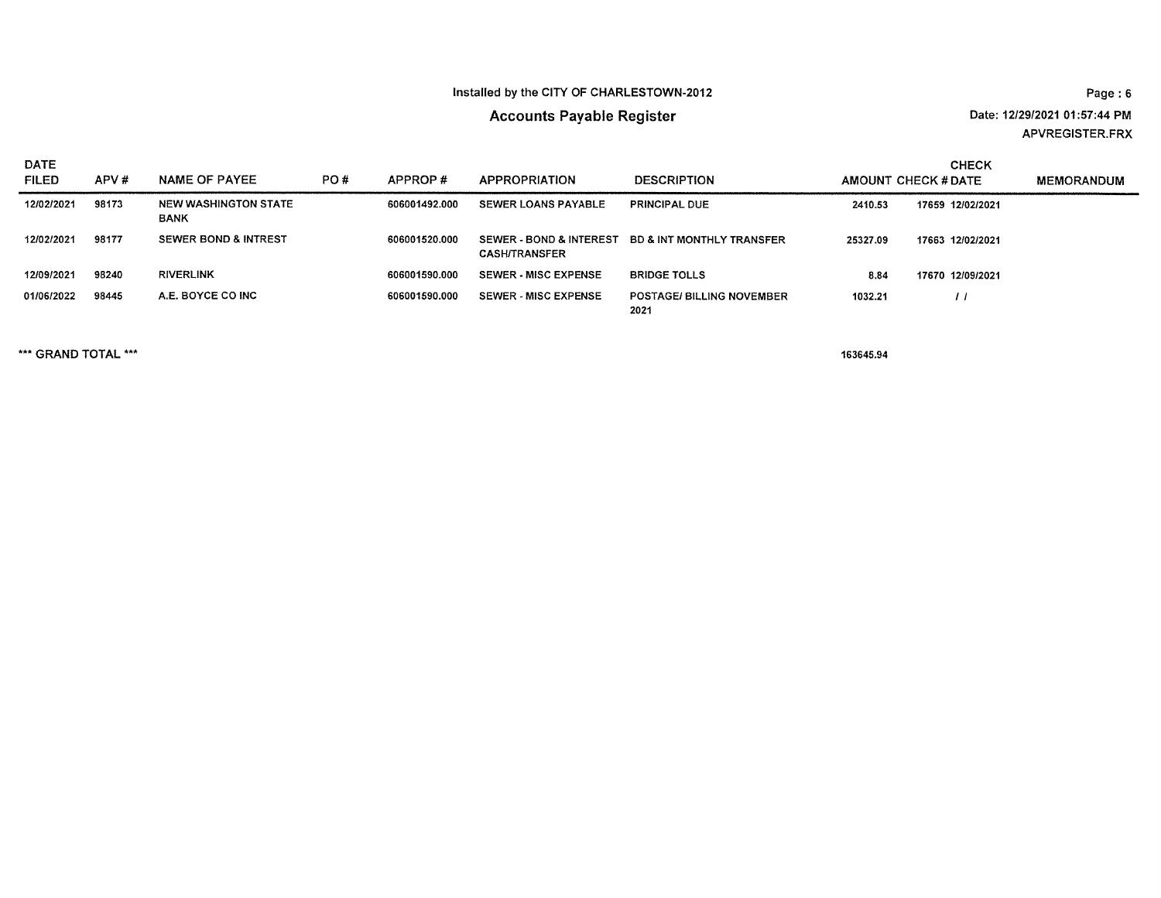# **Accounts Payable Register**

Date: 12/29/2021 01:57:44 PM APVREGISTER.FRX

| DATE<br><b>FILED</b> | APV#  | <b>NAME OF PAYEE</b>                | PO# | APPROP#       | <b>APPROPRIATION</b>                                       | <b>DESCRIPTION</b>                       | AMOUNT CHECK # DATE | <b>CHECK</b>     | MEMORANDUM |
|----------------------|-------|-------------------------------------|-----|---------------|------------------------------------------------------------|------------------------------------------|---------------------|------------------|------------|
| 12/02/2021           | 98173 | NEW WASHINGTON STATE<br><b>BANK</b> |     | 606001492.000 | <b>SEWER LOANS PAYABLE</b>                                 | <b>PRINCIPAL DUE</b>                     | 2410.53             | 17659 12/02/2021 |            |
| 12/02/2021           | 98177 | <b>SEWER BOND &amp; INTREST</b>     |     | 606001520.000 | <b>SEWER - BOND &amp; INTEREST</b><br><b>CASH/TRANSFER</b> | <b>BD &amp; INT MONTHLY TRANSFER</b>     | 25327.09            | 17663 12/02/2021 |            |
| 12/09/2021           | 98240 | <b>RIVERLINK</b>                    |     | 606001590.000 | <b>SEWER - MISC EXPENSE</b>                                | <b>BRIDGE TOLLS</b>                      | 8.84                | 17670 12/09/2021 |            |
| 01/06/2022           | 98445 | A.E. BOYCE CO INC                   |     | 606001590.000 | <b>SEWER - MISC EXPENSE</b>                                | <b>POSTAGE/ BILLING NOVEMBER</b><br>2021 | 1032.21             |                  |            |

\*\*\* GRAND TOTAL \*\*\*

163645.94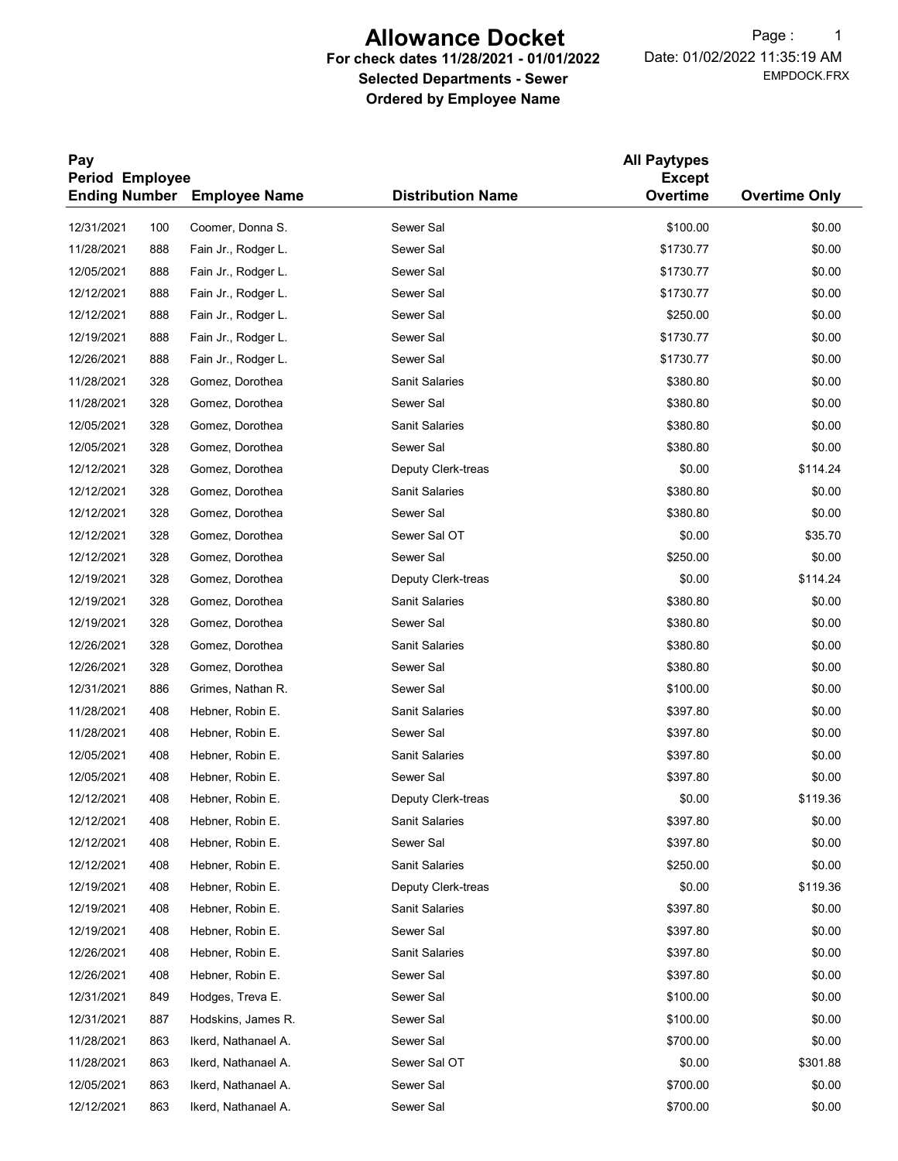# Allowance Docket

## For check dates 11/28/2021 - 01/01/2022 Selected Departments - Sewer Ordered by Employee Name

EMPDOCK.FRX Date: 01/02/2022 11:35:19 AM Page: 1

| Pay<br><b>Period Employee</b> |     |                                    | <b>All Paytypes</b><br><b>Except</b> |           |                      |
|-------------------------------|-----|------------------------------------|--------------------------------------|-----------|----------------------|
|                               |     | <b>Ending Number</b> Employee Name | <b>Distribution Name</b>             | Overtime  | <b>Overtime Only</b> |
| 12/31/2021                    | 100 | Coomer, Donna S.                   | Sewer Sal                            | \$100.00  | \$0.00               |
| 11/28/2021                    | 888 | Fain Jr., Rodger L.                | Sewer Sal                            | \$1730.77 | \$0.00               |
| 12/05/2021                    | 888 | Fain Jr., Rodger L.                | Sewer Sal                            | \$1730.77 | \$0.00               |
| 12/12/2021                    | 888 | Fain Jr., Rodger L.                | Sewer Sal                            | \$1730.77 | \$0.00               |
| 12/12/2021                    | 888 | Fain Jr., Rodger L.                | Sewer Sal                            | \$250.00  | \$0.00               |
| 12/19/2021                    | 888 | Fain Jr., Rodger L.                | Sewer Sal                            | \$1730.77 | \$0.00               |
| 12/26/2021                    | 888 | Fain Jr., Rodger L.                | Sewer Sal                            | \$1730.77 | \$0.00               |
| 11/28/2021                    | 328 | Gomez, Dorothea                    | <b>Sanit Salaries</b>                | \$380.80  | \$0.00               |
| 11/28/2021                    | 328 | Gomez, Dorothea                    | Sewer Sal                            | \$380.80  | \$0.00               |
| 12/05/2021                    | 328 | Gomez, Dorothea                    | <b>Sanit Salaries</b>                | \$380.80  | \$0.00               |
| 12/05/2021                    | 328 | Gomez, Dorothea                    | Sewer Sal                            | \$380.80  | \$0.00               |
| 12/12/2021                    | 328 | Gomez, Dorothea                    | Deputy Clerk-treas                   | \$0.00    | \$114.24             |
| 12/12/2021                    | 328 | Gomez, Dorothea                    | <b>Sanit Salaries</b>                | \$380.80  | \$0.00               |
| 12/12/2021                    | 328 | Gomez, Dorothea                    | Sewer Sal                            | \$380.80  | \$0.00               |
| 12/12/2021                    | 328 | Gomez, Dorothea                    | Sewer Sal OT                         | \$0.00    | \$35.70              |
| 12/12/2021                    | 328 | Gomez, Dorothea                    | Sewer Sal                            | \$250.00  | \$0.00               |
| 12/19/2021                    | 328 | Gomez, Dorothea                    | Deputy Clerk-treas                   | \$0.00    | \$114.24             |
| 12/19/2021                    | 328 | Gomez, Dorothea                    | <b>Sanit Salaries</b>                | \$380.80  | \$0.00               |
| 12/19/2021                    | 328 | Gomez, Dorothea                    | Sewer Sal                            | \$380.80  | \$0.00               |
| 12/26/2021                    | 328 | Gomez, Dorothea                    | <b>Sanit Salaries</b>                | \$380.80  | \$0.00               |
| 12/26/2021                    | 328 | Gomez, Dorothea                    | Sewer Sal                            | \$380.80  | \$0.00               |
| 12/31/2021                    | 886 | Grimes, Nathan R.                  | Sewer Sal                            | \$100.00  | \$0.00               |
| 11/28/2021                    | 408 | Hebner, Robin E.                   | <b>Sanit Salaries</b>                | \$397.80  | \$0.00               |
| 11/28/2021                    | 408 | Hebner, Robin E.                   | Sewer Sal                            | \$397.80  | \$0.00               |
| 12/05/2021                    | 408 | Hebner, Robin E.                   | Sanit Salaries                       | \$397.80  | \$0.00               |
| 12/05/2021                    | 408 | Hebner, Robin E.                   | Sewer Sal                            | \$397.80  | \$0.00               |
| 12/12/2021                    | 408 | Hebner, Robin E.                   | Deputy Clerk-treas                   | \$0.00    | \$119.36             |
| 12/12/2021                    | 408 | Hebner, Robin E.                   | Sanit Salaries                       | \$397.80  | \$0.00               |
| 12/12/2021                    | 408 | Hebner, Robin E.                   | Sewer Sal                            | \$397.80  | \$0.00               |
| 12/12/2021                    | 408 | Hebner, Robin E.                   | <b>Sanit Salaries</b>                | \$250.00  | \$0.00               |
| 12/19/2021                    | 408 | Hebner, Robin E.                   | Deputy Clerk-treas                   | \$0.00    | \$119.36             |
| 12/19/2021                    | 408 | Hebner, Robin E.                   | Sanit Salaries                       | \$397.80  | \$0.00               |
| 12/19/2021                    | 408 | Hebner, Robin E.                   | Sewer Sal                            | \$397.80  | \$0.00               |
| 12/26/2021                    | 408 | Hebner, Robin E.                   | <b>Sanit Salaries</b>                | \$397.80  | \$0.00               |
| 12/26/2021                    | 408 | Hebner, Robin E.                   | Sewer Sal                            | \$397.80  | \$0.00               |
| 12/31/2021                    | 849 | Hodges, Treva E.                   | Sewer Sal                            | \$100.00  | \$0.00               |
| 12/31/2021                    | 887 | Hodskins, James R.                 | Sewer Sal                            | \$100.00  | \$0.00               |
| 11/28/2021                    | 863 | Ikerd, Nathanael A.                | Sewer Sal                            | \$700.00  | \$0.00               |
| 11/28/2021                    | 863 | Ikerd, Nathanael A.                | Sewer Sal OT                         | \$0.00    | \$301.88             |
| 12/05/2021                    | 863 | Ikerd, Nathanael A.                | Sewer Sal                            | \$700.00  | \$0.00               |
| 12/12/2021                    | 863 | Ikerd, Nathanael A.                | Sewer Sal                            | \$700.00  | \$0.00               |
|                               |     |                                    |                                      |           |                      |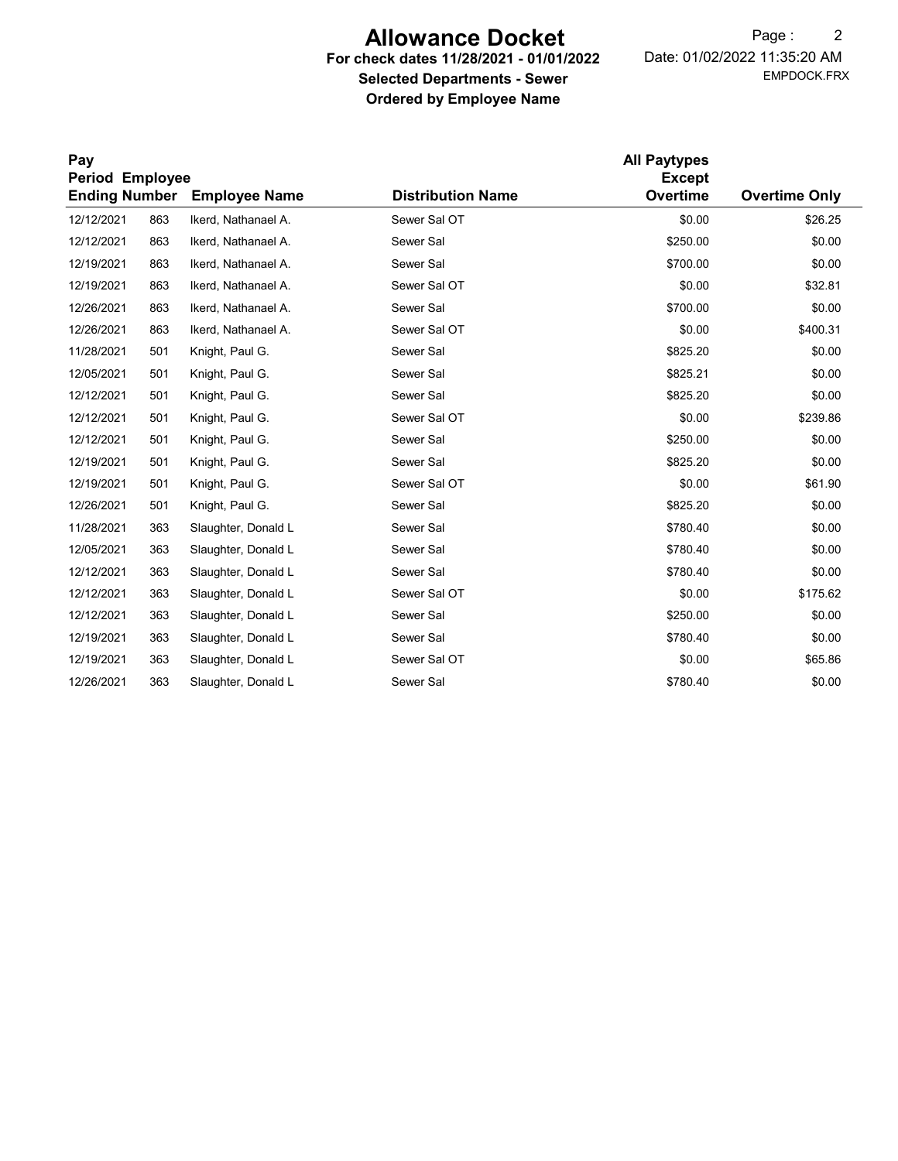# Allowance Docket

# For check dates 11/28/2021 - 01/01/2022 Selected Departments - Sewer Ordered by Employee Name

EMPDOCK.FRX Date: 01/02/2022 11:35:20 AM Page : 2

| Pay<br>Period Employee |     |                      |                          |          |                      |
|------------------------|-----|----------------------|--------------------------|----------|----------------------|
| <b>Ending Number</b>   |     | <b>Employee Name</b> | <b>Distribution Name</b> | Overtime | <b>Overtime Only</b> |
| 12/12/2021             | 863 | Ikerd, Nathanael A.  | Sewer Sal OT             | \$0.00   | \$26.25              |
| 12/12/2021             | 863 | Ikerd, Nathanael A.  | Sewer Sal                | \$250.00 | \$0.00               |
| 12/19/2021             | 863 | Ikerd, Nathanael A.  | Sewer Sal                | \$700.00 | \$0.00               |
| 12/19/2021             | 863 | Ikerd. Nathanael A.  | Sewer Sal OT             | \$0.00   | \$32.81              |
| 12/26/2021             | 863 | Ikerd, Nathanael A.  | Sewer Sal                | \$700.00 | \$0.00               |
| 12/26/2021             | 863 | Ikerd, Nathanael A.  | Sewer Sal OT             | \$0.00   | \$400.31             |
| 11/28/2021             | 501 | Knight, Paul G.      | Sewer Sal                | \$825.20 | \$0.00               |
| 12/05/2021             | 501 | Knight, Paul G.      | Sewer Sal                | \$825.21 | \$0.00               |
| 12/12/2021             | 501 | Knight, Paul G.      | Sewer Sal                | \$825.20 | \$0.00               |
| 12/12/2021             | 501 | Knight, Paul G.      | Sewer Sal OT             | \$0.00   | \$239.86             |
| 12/12/2021             | 501 | Knight, Paul G.      | Sewer Sal                | \$250.00 | \$0.00               |
| 12/19/2021             | 501 | Knight, Paul G.      | Sewer Sal                | \$825.20 | \$0.00               |
| 12/19/2021             | 501 | Knight, Paul G.      | Sewer Sal OT             | \$0.00   | \$61.90              |
| 12/26/2021             | 501 | Knight, Paul G.      | Sewer Sal                | \$825.20 | \$0.00               |
| 11/28/2021             | 363 | Slaughter, Donald L  | Sewer Sal                | \$780.40 | \$0.00               |
| 12/05/2021             | 363 | Slaughter, Donald L  | Sewer Sal                | \$780.40 | \$0.00               |
| 12/12/2021             | 363 | Slaughter, Donald L  | Sewer Sal                | \$780.40 | \$0.00               |
| 12/12/2021             | 363 | Slaughter, Donald L  | Sewer Sal OT             | \$0.00   | \$175.62             |
| 12/12/2021             | 363 | Slaughter, Donald L  | Sewer Sal                | \$250.00 | \$0.00               |
| 12/19/2021             | 363 | Slaughter, Donald L  | Sewer Sal                | \$780.40 | \$0.00               |
| 12/19/2021             | 363 | Slaughter, Donald L  | Sewer Sal OT             | \$0.00   | \$65.86              |
| 12/26/2021             | 363 | Slaughter, Donald L  | Sewer Sal                | \$780.40 | \$0.00               |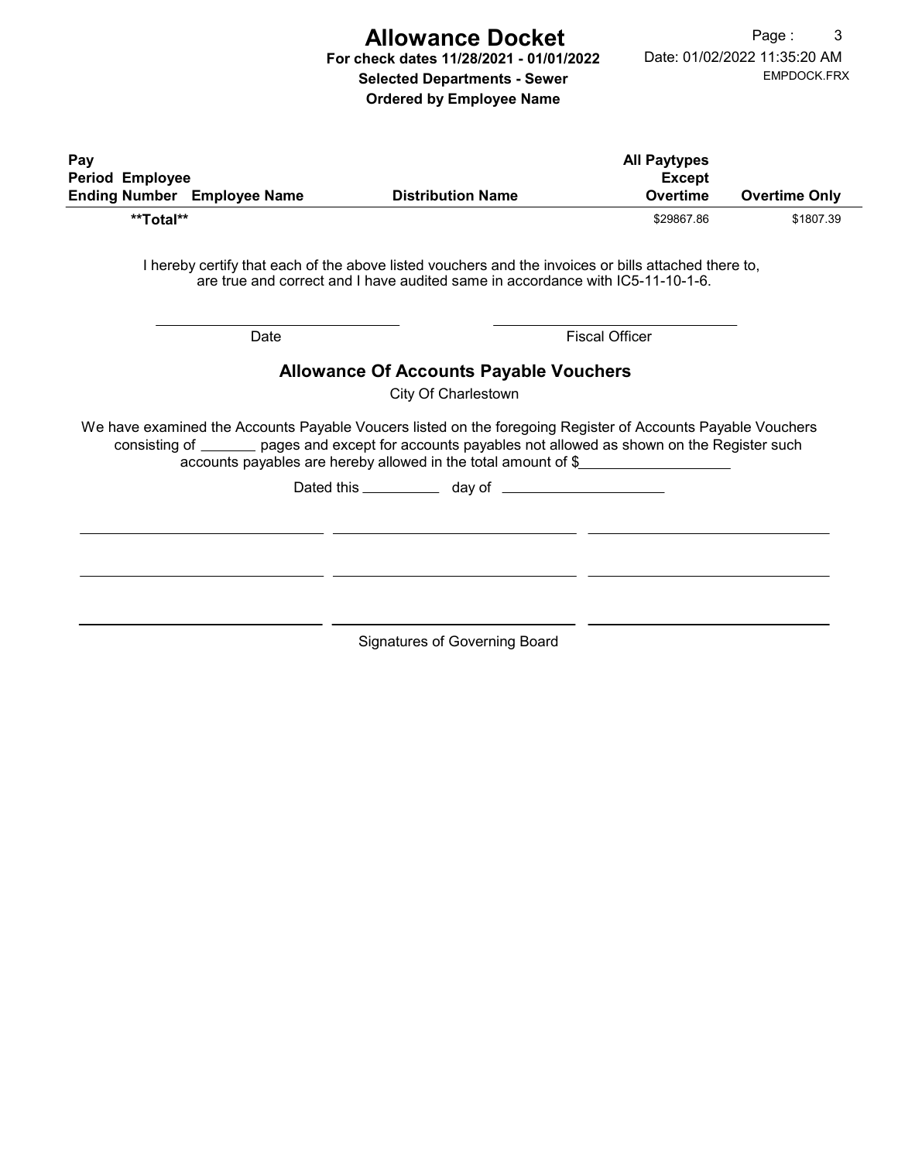# Allowance Docket

For check dates 11/28/2021 - 01/01/2022 Selected Departments - Sewer

Ordered by Employee Name

| Pay<br><b>Period Employee</b> | <b>Ending Number</b> Employee Name | <b>Distribution Name</b>                                                                                                                                                                                                                                                                      | <b>All Paytypes</b><br><b>Except</b><br><b>Overtime</b> | <b>Overtime Only</b> |
|-------------------------------|------------------------------------|-----------------------------------------------------------------------------------------------------------------------------------------------------------------------------------------------------------------------------------------------------------------------------------------------|---------------------------------------------------------|----------------------|
| **Total**                     |                                    |                                                                                                                                                                                                                                                                                               | \$29867.86                                              | \$1807.39            |
|                               |                                    | I hereby certify that each of the above listed vouchers and the invoices or bills attached there to,<br>are true and correct and I have audited same in accordance with IC5-11-10-1-6.                                                                                                        |                                                         |                      |
|                               | Date                               |                                                                                                                                                                                                                                                                                               | <b>Fiscal Officer</b>                                   |                      |
|                               |                                    | <b>Allowance Of Accounts Payable Vouchers</b><br>City Of Charlestown<br>We have examined the Accounts Payable Voucers listed on the foregoing Register of Accounts Payable Vouchers<br>consisting of _______ pages and except for accounts payables not allowed as shown on the Register such |                                                         |                      |
|                               |                                    | accounts payables are hereby allowed in the total amount of \$                                                                                                                                                                                                                                |                                                         |                      |
|                               |                                    |                                                                                                                                                                                                                                                                                               |                                                         |                      |
|                               |                                    |                                                                                                                                                                                                                                                                                               |                                                         |                      |
|                               |                                    |                                                                                                                                                                                                                                                                                               |                                                         |                      |
|                               |                                    |                                                                                                                                                                                                                                                                                               |                                                         |                      |
|                               |                                    | <b>Signatures of Governing Board</b>                                                                                                                                                                                                                                                          |                                                         |                      |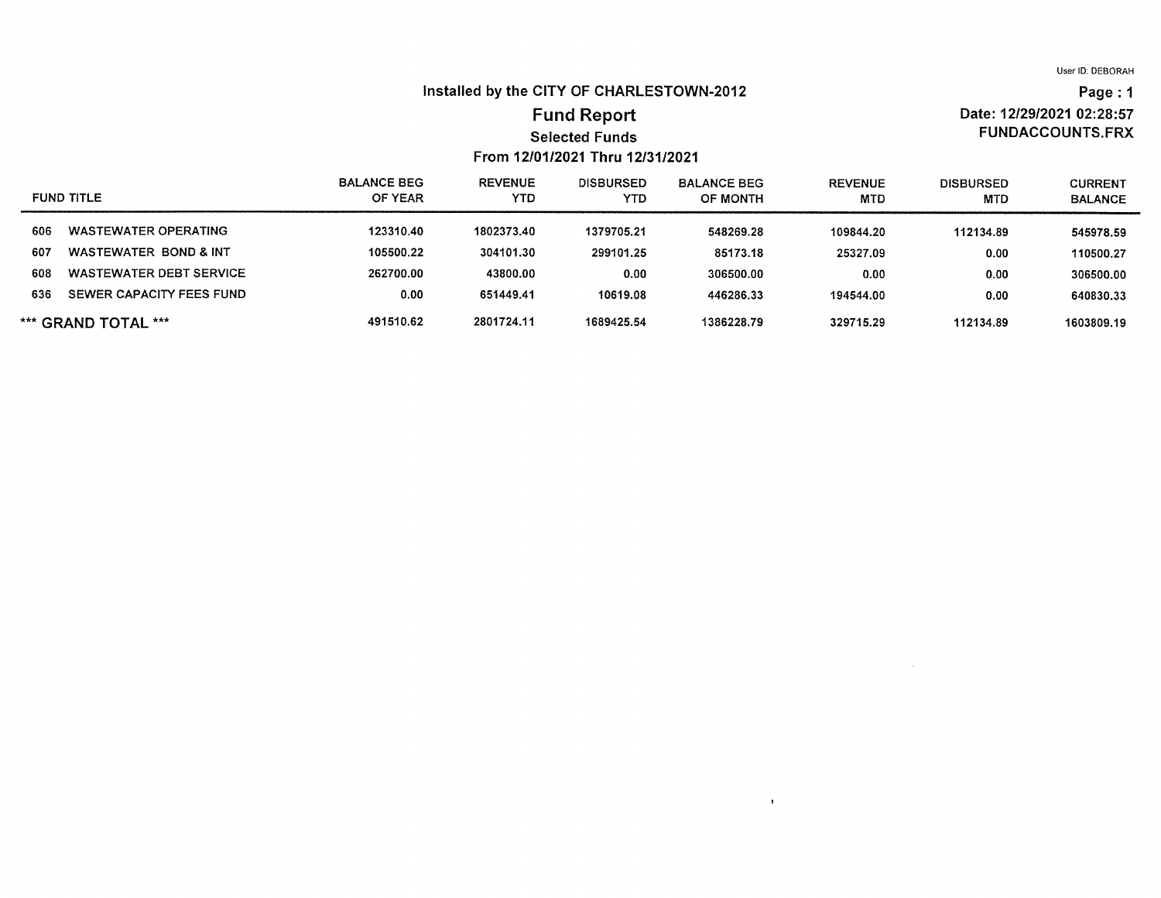Date: 12/29/2021 02:28:57

**FUNDACCOUNTS.FRX** 

Page: 1

## Installed by the CITY OF CHARLESTOWN-2012

## **Fund Report Selected Funds** From 12/01/2021 Thru 12/31/2021

#### **REVENUE BALANCE BEG DISBURSED BALANCE BEG REVENUE DISBURSED CURRENT FUND TITLE** OF YEAR **YTD YTD** OF MONTH **MTD MTD BALANCE WASTEWATER OPERATING** 123310.40 1802373.40 606 1379705.21 548269.28 109844.20 112134.89 545978.59 607 **WASTEWATER BOND & INT** 105500.22 304101.30 299101.25 85173.18 25327.09  $0.00$ 110500.27 **WASTEWATER DEBT SERVICE** 608 262700.00 43800.00  $0.00$ 306500.00  $0.00$  $0.00$ 306500.00 SEWER CAPACITY FEES FUND  $0.00$ 651449.41 10619.08 446286.33 194544.00 636  $0.00$ 640830.33 \*\*\* GRAND TOTAL \*\*\* 491510.62 2801724.11 1689425.54 1386228.79 329715.29 112134.89 1603809.19

 $\mathbf{r}$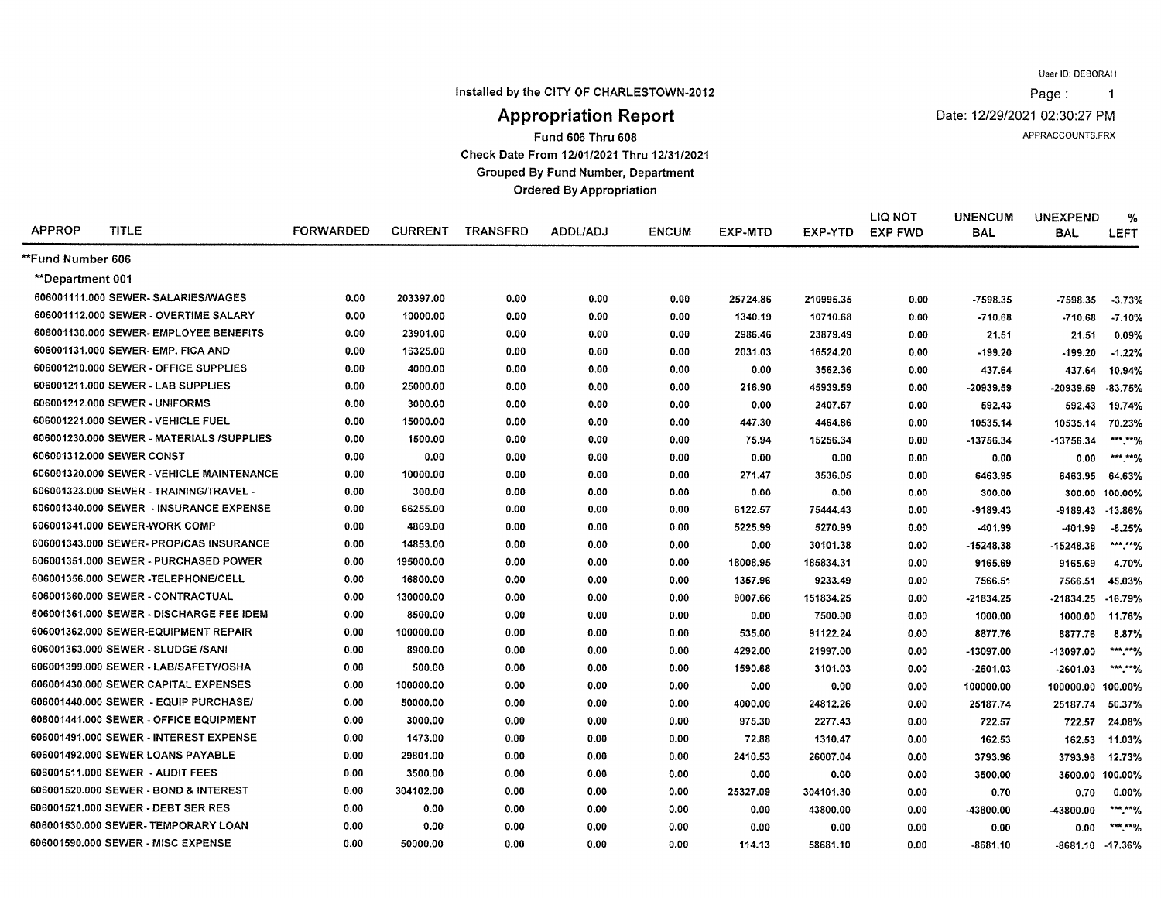Page:  $\overline{1}$ 

Installed by the CITY OF CHARLESTOWN-2012

Date: 12/29/2021 02:30:27 PM

APPRACCOUNTS.FRX

# **Appropriation Report**

Fund 606 Thru 608

Check Date From 12/01/2021 Thru 12/31/2021

**Grouped By Fund Number, Department** 

**Ordered By Appropriation** 

| <b>APPROP</b>     | <b>TITLE</b>                              | <b>FORWARDED</b> | <b>CURRENT</b> | <b>TRANSFRD</b> | <b>ADDL/ADJ</b> | <b>ENCUM</b> | EXP-MTD  | EXP-YTD   | <b>LIQ NOT</b><br><b>EXP FWD</b> | <b>UNENCUM</b><br><b>BAL</b> | <b>UNEXPEND</b><br><b>BAL</b> | %<br>LEFT       |
|-------------------|-------------------------------------------|------------------|----------------|-----------------|-----------------|--------------|----------|-----------|----------------------------------|------------------------------|-------------------------------|-----------------|
| **Fund Number 606 |                                           |                  |                |                 |                 |              |          |           |                                  |                              |                               |                 |
| **Department 001  |                                           |                  |                |                 |                 |              |          |           |                                  |                              |                               |                 |
|                   | 606001111.000 SEWER-SALARIES/WAGES        | 0.00             | 203397.00      | 0.00            | 0.00            | 0.00         | 25724.86 | 210995.35 | 0.00                             | $-7598.35$                   | $-7598.35$                    | $-3.73%$        |
|                   | 606001112,000 SEWER - OVERTIME SALARY     | 0.00             | 10000.00       | 0.00            | 0.00            | 0.00         | 1340.19  | 10710.68  | 0.00                             | $-710.68$                    | $-710.68$                     | $-7.10%$        |
|                   | 606001130.000 SEWER- EMPLOYEE BENEFITS    | 0.00             | 23901.00       | 0.00            | 0.00            | 0.00         | 2986.46  | 23879.49  | 0.00                             | 21.51                        | 21.51                         | 0.09%           |
|                   | 606001131.000 SEWER- EMP. FICA AND        | 0.00             | 16325.00       | 0.00            | 0.00            | 0.00         | 2031.03  | 16524.20  | 0.00                             | $-199.20$                    | $-199.20$                     | $-1.22%$        |
|                   | 606001210.000 SEWER - OFFICE SUPPLIES     | 0.00             | 4000.00        | 0.00            | 0.00            | 0.00         | 0.00     | 3562.36   | 0.00                             | 437.64                       | 437.64                        | 10.94%          |
|                   | 606001211.000 SEWER - LAB SUPPLIES        | 0.00             | 25000.00       | 0.00            | 0.00            | 0.00         | 216.90   | 45939.59  | 0.00                             | $-20939.59$                  | -20939.59                     | $-83.75%$       |
|                   | 606001212.000 SEWER - UNIFORMS            | 0.00             | 3000.00        | 0.00            | 0.00            | 0.00         | 0.00     | 2407.57   | 0.00                             | 592.43                       | 592.43                        | 19.74%          |
|                   | 606001221.000 SEWER - VEHICLE FUEL        | 0.00             | 15000.00       | 0.00            | 0.00            | 0.00         | 447.30   | 4464.86   | 0.00                             | 10535.14                     | 10535.14                      | 70.23%          |
|                   | 606001230.000 SEWER - MATERIALS /SUPPLIES | 0.00             | 1500.00        | 0.00            | 0.00            | 0.00         | 75.94    | 15256.34  | 0.00                             | -13756.34                    | -13756.34                     | ***.**%         |
|                   | 606001312.000 SEWER CONST                 | 0.00             | 0.00           | 0.00            | 0.00            | 0.00         | 0.00     | 0.00      | 0.00                             | 0.00                         | 0.00                          | ***.**%         |
|                   | 606001320.000 SEWER - VEHICLE MAINTENANCE | 0.00             | 10000.00       | 0.00            | 0.00            | 0.00         | 271.47   | 3536.05   | 0.00                             | 6463.95                      | 6463.95                       | 64.63%          |
|                   | 606001323.000 SEWER - TRAINING/TRAVEL -   | 0.00             | 300.00         | 0.00            | 0.00            | 0.00         | 0.00     | 0.00      | 0.00                             | 300.00                       | 300.00                        | 100.00%         |
|                   | 606001340.000 SEWER - INSURANCE EXPENSE   | 0.00             | 66255.00       | 0.00            | 0.00            | 0.00         | 6122.57  | 75444.43  | 0.00                             | -9189.43                     | $-9189.43$                    | $-13.86%$       |
|                   | 606001341.000 SEWER-WORK COMP             | 0.00             | 4869.00        | 0.00            | 0.00            | 0.00         | 5225.99  | 5270.99   | 0.00                             | -401.99                      | -401.99                       | $-8.25%$        |
|                   | 606001343.000 SEWER- PROP/CAS INSURANCE   | 0.00             | 14853.00       | 0.00            | 0.00            | 0.00         | 0.00     | 30101.38  | 0.00                             | $-15248.38$                  | -15248.38                     | ***.**%         |
|                   | 606001351.000 SEWER - PURCHASED POWER     | 0.00             | 195000.00      | 0.00            | 0.00            | 0.00         | 18008.95 | 185834.31 | 0.00                             | 9165.69                      | 9165.69                       | 4.70%           |
|                   | 606001356.000 SEWER -TELEPHONE/CELL       | 0.00             | 16800.00       | 0.00            | 0.00            | 0.00         | 1357.96  | 9233.49   | 0.00                             | 7566.51                      | 7566.51                       | 45.03%          |
|                   | 606001360.000 SEWER - CONTRACTUAL         | 0.00             | 130000.00      | 0.00            | 0.00            | 0.00         | 9007.66  | 151834.25 | 0.00                             | $-21834.25$                  | -21834.25                     | $-16.79%$       |
|                   | 606001361.000 SEWER - DISCHARGE FEE IDEM  | 0.00             | 8500.00        | 0.00            | 0.00            | 0.00         | 0.00     | 7500.00   | 0.00                             | 1000.00                      | 1000.00                       | 11.76%          |
|                   | 606001362.000 SEWER-EQUIPMENT REPAIR      | 0.00             | 100000.00      | 0.00            | 0.00            | 0.00         | 535.00   | 91122.24  | 0.00                             | 8877.76                      | 8877.76                       | 8.87%           |
|                   | 606001363.000 SEWER - SLUDGE /SANI        | 0.00             | 8900.00        | 0.00            | 0.00            | 0.00         | 4292.00  | 21997.00  | 0.00                             | -13097.00                    | -13097.00                     | ***.**%         |
|                   | 606001399.000 SEWER - LAB/SAFETY/OSHA     | 0.00             | 500.00         | 0.00            | 0.00            | 0.00         | 1590.68  | 3101.03   | 0.00                             | $-2601.03$                   | $-2601.03$                    | ***.**%         |
|                   | 606001430.000 SEWER CAPITAL EXPENSES      | 0.00             | 100000.00      | 0.00            | 0.00            | 0.00         | 0.00     | 0.00      | 0.00                             | 100000.00                    | 100000.00 100.00%             |                 |
|                   | 606001440.000 SEWER - EQUIP PURCHASE/     | 0.00             | 50000.00       | 0.00            | 0.00            | 0.00         | 4000.00  | 24812.26  | 0.00                             | 25187.74                     | 25187.74                      | 50.37%          |
|                   | 606001441.000 SEWER - OFFICE EQUIPMENT    | 0.00             | 3000.00        | 0.00            | 0.00            | 0.00         | 975.30   | 2277.43   | 0.00                             | 722.57                       | 722.57                        | 24.08%          |
|                   | 606001491.000 SEWER - INTEREST EXPENSE    | 0.00             | 1473.00        | 0.00            | 0.00            | 0.00         | 72.88    | 1310.47   | 0.00                             | 162.53                       | 162.53                        | 11.03%          |
|                   | 606001492.000 SEWER LOANS PAYABLE         | 0.00             | 29801.00       | 0.00            | 0.00            | 0.00         | 2410.53  | 26007.04  | 0.00                             | 3793.96                      | 3793.96                       | 12.73%          |
|                   | 606001511.000 SEWER - AUDIT FEES          | 0.00             | 3500.00        | 0.00            | 0.00            | 0.00         | 0.00     | 0.00      | 0.00                             | 3500.00                      |                               | 3500.00 100.00% |
|                   | 606001520.000 SEWER - BOND & INTEREST     | 0.00             | 304102.00      | 0.00            | 0.00            | 0.00         | 25327.09 | 304101.30 | 0.00                             | 0.70                         | 0.70                          | $0.00\%$        |
|                   | 606001521.000 SEWER - DEBT SER RES        | 0.00             | 0.00           | 0.00            | 0.00            | 0.00         | 0.00     | 43800.00  | 0.00                             | -43800.00                    | -43800.00                     | *** **9/        |
|                   | 606001530.000 SEWER-TEMPORARY LOAN        | 0.00             | 0.00           | 0.00            | 0.00            | 0.00         | 0.00     | 0.00      | 0.00                             | 0.00                         | 0.00                          | *** **%         |
|                   | 606001590.000 SEWER - MISC EXPENSE        | 0.00             | 50000.00       | 0.00            | 0.00            | 0.00         | 114.13   | 58681.10  | 0.00                             | -8681.10                     | -8681.10 -17.36%              |                 |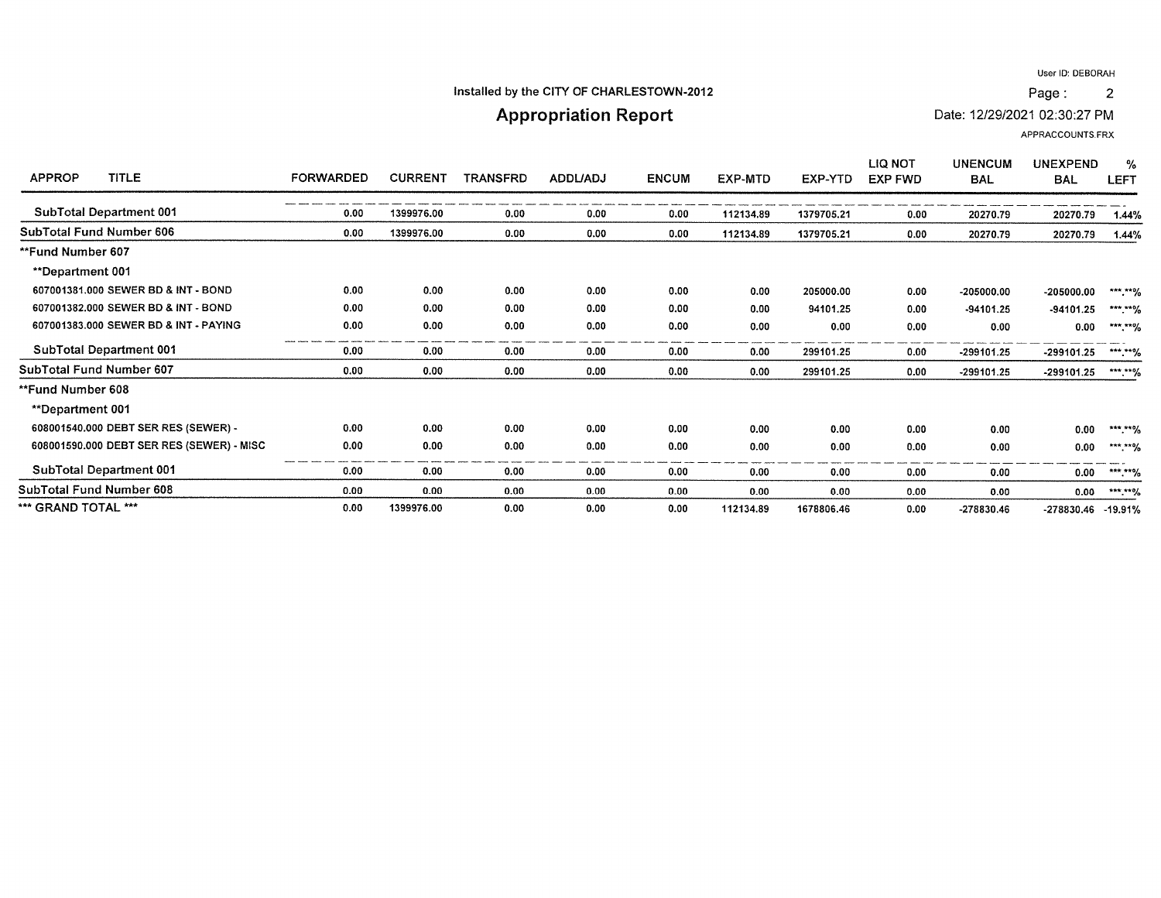$\overline{2}$ 

#### Installed by the CITY OF CHARLESTOWN-2012

# **Appropriation Report**

Date: 12/29/2021 02:30:27 PM

APPRACCOUNTS.FRX

| <b>TITLE</b><br><b>APPROP</b>             | <b>FORWARDED</b> | <b>CURRENT</b> | TRANSFRD | <b>ADDL/ADJ</b> | <b>ENCUM</b> | <b>EXP-MTD</b> | EXP-YTD    | LIQ NOT<br><b>EXP FWD</b> | <b>UNENCUM</b><br><b>BAL</b> | <b>UNEXPEND</b><br><b>BAL</b> | $\%$<br><b>LEFT</b> |
|-------------------------------------------|------------------|----------------|----------|-----------------|--------------|----------------|------------|---------------------------|------------------------------|-------------------------------|---------------------|
| SubTotal Department 001                   | 0.00             | 1399976.00     | 0.00     | 0.00            | 0.00         | 112134.89      | 1379705.21 | 0.00                      | 20270.79                     | 20270.79                      | 1.44%               |
| SubTotal Fund Number 606                  | 0.00             | 1399976.00     | 0.00     | 0.00            | 0.00         | 112134.89      | 1379705.21 | 0.00                      | 20270.79                     | 20270.79                      | 1.44%               |
| **Fund Number 607                         |                  |                |          |                 |              |                |            |                           |                              |                               |                     |
| **Department 001                          |                  |                |          |                 |              |                |            |                           |                              |                               |                     |
| 607001381.000 SEWER BD & INT - BOND       | 0.00             | 0.00           | 0.00     | 0.00            | 0.00         | 0.00           | 205000.00  | 0.00                      | $-205000.00$                 | $-205000.00$                  | ***.**%             |
| 607001382.000 SEWER BD & INT - BOND       | 0.00             | 0.00           | 0.00     | 0.00            | 0.00         | 0.00           | 94101.25   | 0.00                      | $-94101.25$                  | $-94101.25$                   | $***$ ** $%$        |
| 607001383.000 SEWER BD & INT - PAYING     | 0.00             | 0.00           | 0.00     | 0.00            | 0.00         | 0.00           | 0.00       | 0.00                      | 0.00                         | 0.00                          | ***.**%             |
| <b>SubTotal Department 001</b>            | 0.00             | 0.00           | 0.00     | 0.00            | 0.00         | 0.00           | 299101.25  | 0.00                      | -299101.25                   | -299101.25                    | ***.**%             |
| SubTotal Fund Number 607                  | 0.00             | 0.00           | 0.00     | 0.00            | 0.00         | 0.00           | 299101.25  | 0.00                      | $-299101.25$                 | -299101.25                    | ***.**%             |
| **Fund Number 608                         |                  |                |          |                 |              |                |            |                           |                              |                               |                     |
| <b>**Department 001</b>                   |                  |                |          |                 |              |                |            |                           |                              |                               |                     |
| 608001540.000 DEBT SER RES (SEWER) -      | 0.00             | 0.00           | 0.00     | 0.00            | 0.00         | 0.00           | 0.00       | 0.00                      | 0.00                         | 0.00                          | *** **%             |
| 608001590.000 DEBT SER RES (SEWER) - MISC | 0.00             | 0.00           | 0.00     | 0.00            | 0.00         | 0.00           | 0.00       | 0.00                      | 0.00                         | 0.00                          | *** **%             |
| SubTotal Department 001                   | 0.00             | 0.00           | 0.00     | 0.00            | 0.00         | 0.00           | 0.00       | 0.00                      | 0.00                         | 0.00                          | ***.**%             |
| SubTotal Fund Number 608                  | 0.00             | 0.00           | 0.00     | 0.00            | 0.00         | 0.00           | 0.00       | 0.00                      | 0.00                         | 0.00                          | ***.**%             |
| *** GRAND TOTAL ***                       | 0.00             | 1399976.00     | 0.00     | 0.00            | 0.00         | 112134.89      | 1678806.46 | 0.00                      | -278830.46                   | -278830.46                    | $-19.91%$           |